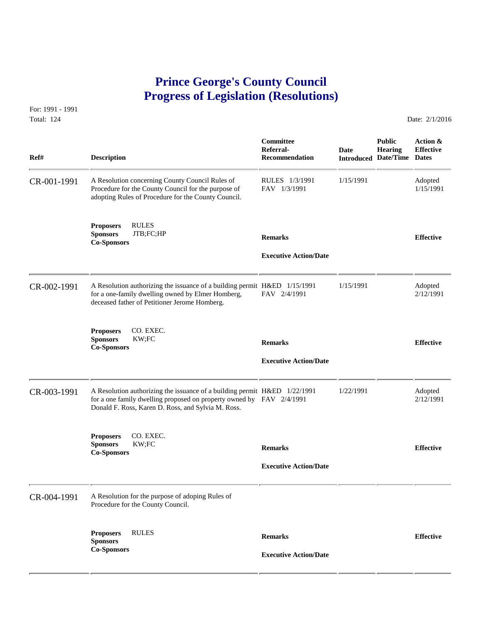## **Prince George's County Council Progress of Legislation (Resolutions)**

For: 1991 - 1991 Total: 124 Date: 2/1/2016

 **Committee Public Action & Referral- Date Hearing Effective Ref# Description Recommendation Introduced Date/Time Dates** CR-001-1991 A Resolution concerning County Council Rules of RULES 1/3/1991 1/15/1991 Adopted<br>Procedure for the County Council for the purpose of FAV 1/3/1991 1/15/1991 1/15/1991 Procedure for the County Council for the purpose of adopting Rules of Procedure for the County Council. **Proposers** RULES **Sponsors** JTB;FC;HP **Remarks Effective Co-Sponsors Executive Action/Date** CR-002-1991 A Resolution authorizing the issuance of a building permit H&ED 1/15/1991 1/15/1991 1/15/1991 Adopted for a one-family dwelling owned by Elmer Homberg, FAV 2/4/1991 2/12/1991 for a one-family dwelling owned by Elmer Homberg, deceased father of Petitioner Jerome Homberg. **Proposers CO. EXEC.<br>Sponsors KW;FC Sponsors** KW;FC **Remarks Effective Co-Sponsors Executive Action/Date** CR-003-1991 A Resolution authorizing the issuance of a building permit H&ED 1/22/1991 1/22/1991 1/22/1991 6 a one family dwelling proposed on property owned by FAV 2/4/1991 2/12/1991 for a one family dwelling proposed on property owned by FAV 2/4/1991 Donald F. Ross, Karen D. Ross, and Sylvia M. Ross. **Proposers** CO. EXEC. **Sponsors** KW;FC **Remarks Effective Co-Sponsors Executive Action/Date** CR-004-1991 A Resolution for the purpose of adoping Rules of Procedure for the County Council. **Proposers** RULES **Remarks Effective Sponsors Co-Sponsors Executive Action/Date**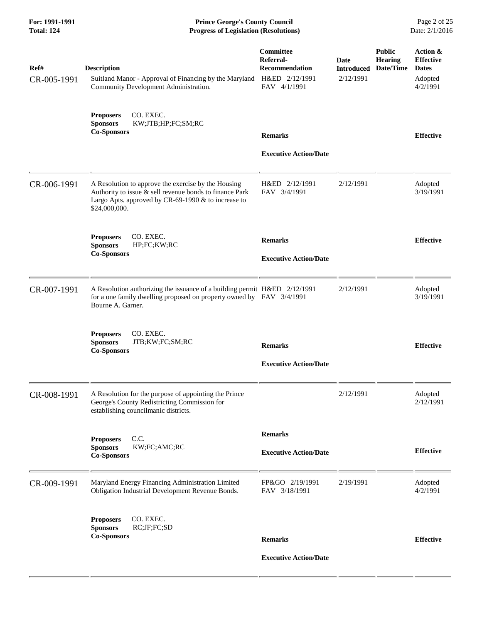| For: 1991-1991<br><b>Total: 124</b> | <b>Prince George's County Council</b><br><b>Progress of Legislation (Resolutions)</b>                                                                                                  | Page 2 of 25<br>Date: 2/1/2016                                                    |                                               |                                              |                                                                     |
|-------------------------------------|----------------------------------------------------------------------------------------------------------------------------------------------------------------------------------------|-----------------------------------------------------------------------------------|-----------------------------------------------|----------------------------------------------|---------------------------------------------------------------------|
| Ref#<br>CR-005-1991                 | <b>Description</b><br>Suitland Manor - Approval of Financing by the Maryland<br>Community Development Administration.                                                                  | <b>Committee</b><br>Referral-<br>Recommendation<br>H&ED 2/12/1991<br>FAV 4/1/1991 | <b>Date</b><br><b>Introduced</b><br>2/12/1991 | <b>Public</b><br><b>Hearing</b><br>Date/Time | Action &<br><b>Effective</b><br><b>Dates</b><br>Adopted<br>4/2/1991 |
|                                     | CO. EXEC.<br><b>Proposers</b><br><b>Sponsors</b><br>KW;JTB;HP;FC;SM;RC<br><b>Co-Sponsors</b>                                                                                           | <b>Remarks</b><br><b>Executive Action/Date</b>                                    |                                               |                                              | <b>Effective</b>                                                    |
| CR-006-1991                         | A Resolution to approve the exercise by the Housing<br>Authority to issue & sell revenue bonds to finance Park<br>Largo Apts. approved by CR-69-1990 & to increase to<br>\$24,000,000. | H&ED 2/12/1991<br>FAV 3/4/1991                                                    | 2/12/1991                                     |                                              | Adopted<br>3/19/1991                                                |
|                                     | <b>Proposers</b><br>CO. EXEC.<br><b>Sponsors</b><br>HP;FC;KW;RC<br><b>Co-Sponsors</b>                                                                                                  | <b>Remarks</b><br><b>Executive Action/Date</b>                                    |                                               |                                              | <b>Effective</b>                                                    |
| CR-007-1991                         | A Resolution authorizing the issuance of a building permit H&ED 2/12/1991<br>for a one family dwelling proposed on property owned by FAV 3/4/1991<br>Bourne A. Garner.                 |                                                                                   | 2/12/1991                                     |                                              | Adopted<br>3/19/1991                                                |
|                                     | <b>Proposers</b><br>CO. EXEC.<br><b>Sponsors</b><br>JTB;KW;FC;SM;RC<br><b>Co-Sponsors</b>                                                                                              | <b>Remarks</b><br><b>Executive Action/Date</b>                                    |                                               |                                              | <b>Effective</b>                                                    |
| CR-008-1991                         | A Resolution for the purpose of appointing the Prince<br>George's County Redistricting Commission for<br>establishing councilmanic districts.                                          |                                                                                   | 2/12/1991                                     |                                              | Adopted<br>2/12/1991                                                |
|                                     | C.C.<br><b>Proposers</b><br><b>Sponsors</b><br>KW;FC;AMC;RC<br><b>Co-Sponsors</b>                                                                                                      | <b>Remarks</b><br><b>Executive Action/Date</b>                                    |                                               |                                              | <b>Effective</b>                                                    |
| CR-009-1991                         | Maryland Energy Financing Administration Limited<br>Obligation Industrial Development Revenue Bonds.                                                                                   | FP&GO 2/19/1991<br>FAV 3/18/1991                                                  | 2/19/1991                                     |                                              | Adopted<br>4/2/1991                                                 |
|                                     | CO. EXEC.<br><b>Proposers</b><br><b>Sponsors</b><br>RC;JF;FC;SD<br><b>Co-Sponsors</b>                                                                                                  | <b>Remarks</b><br><b>Executive Action/Date</b>                                    |                                               |                                              | <b>Effective</b>                                                    |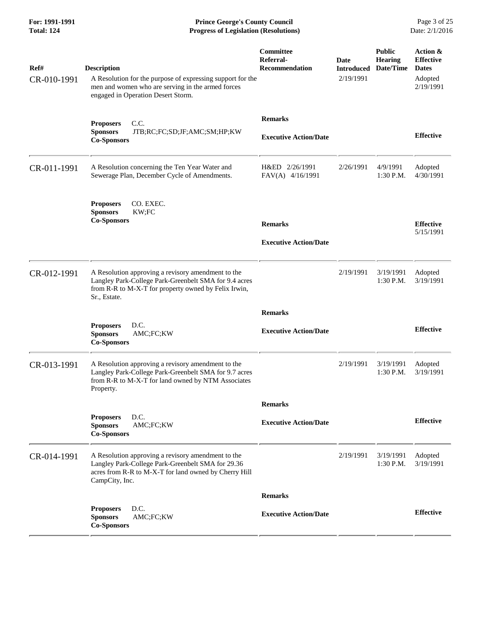| Ref#        | <b>Description</b>                                                                                                                                                                  | Committee<br>Referral-<br><b>Recommendation</b> | Date<br><b>Introduced</b> | <b>Public</b><br><b>Hearing</b><br>Date/Time | Action &<br><b>Effective</b><br><b>Dates</b> |
|-------------|-------------------------------------------------------------------------------------------------------------------------------------------------------------------------------------|-------------------------------------------------|---------------------------|----------------------------------------------|----------------------------------------------|
| CR-010-1991 | A Resolution for the purpose of expressing support for the<br>men and women who are serving in the armed forces<br>engaged in Operation Desert Storm.                               |                                                 | 2/19/1991                 |                                              | Adopted<br>2/19/1991                         |
|             | C.C.<br><b>Proposers</b>                                                                                                                                                            | <b>Remarks</b>                                  |                           |                                              |                                              |
|             | <b>Sponsors</b><br>JTB;RC;FC;SD;JF;AMC;SM;HP;KW<br><b>Co-Sponsors</b>                                                                                                               | <b>Executive Action/Date</b>                    |                           |                                              | <b>Effective</b>                             |
| CR-011-1991 | A Resolution concerning the Ten Year Water and<br>Sewerage Plan, December Cycle of Amendments.                                                                                      | H&ED 2/26/1991<br>FAV(A) 4/16/1991              | 2/26/1991                 | 4/9/1991<br>$1:30$ P.M.                      | Adopted<br>4/30/1991                         |
|             | <b>Proposers</b><br>CO. EXEC.<br><b>Sponsors</b><br>KW;FC                                                                                                                           |                                                 |                           |                                              |                                              |
|             | <b>Co-Sponsors</b>                                                                                                                                                                  | <b>Remarks</b>                                  |                           |                                              | <b>Effective</b><br>5/15/1991                |
|             |                                                                                                                                                                                     | <b>Executive Action/Date</b>                    |                           |                                              |                                              |
| CR-012-1991 | A Resolution approving a revisory amendment to the<br>Langley Park-College Park-Greenbelt SMA for 9.4 acres<br>from R-R to M-X-T for property owned by Felix Irwin,<br>Sr., Estate. |                                                 | 2/19/1991                 | 3/19/1991<br>1:30 P.M.                       | Adopted<br>3/19/1991                         |
|             |                                                                                                                                                                                     | <b>Remarks</b>                                  |                           |                                              |                                              |
|             | D.C.<br><b>Proposers</b><br><b>Sponsors</b><br>AMC;FC;KW<br><b>Co-Sponsors</b>                                                                                                      | <b>Executive Action/Date</b>                    |                           |                                              | <b>Effective</b>                             |
| CR-013-1991 | A Resolution approving a revisory amendment to the<br>Langley Park-College Park-Greenbelt SMA for 9.7 acres<br>from R-R to M-X-T for land owned by NTM Associates<br>Property.      |                                                 | 2/19/1991                 | 3/19/1991<br>1:30 P.M.                       | Adopted<br>3/19/1991                         |
|             |                                                                                                                                                                                     | <b>Remarks</b>                                  |                           |                                              |                                              |
|             | <b>Proposers</b><br>D.C.<br><b>Sponsors</b><br>AMC;FC;KW<br><b>Co-Sponsors</b>                                                                                                      | <b>Executive Action/Date</b>                    |                           |                                              | <b>Effective</b>                             |
| CR-014-1991 | A Resolution approving a revisory amendment to the<br>Langley Park-College Park-Greenbelt SMA for 29.36<br>acres from R-R to M-X-T for land owned by Cherry Hill<br>CampCity, Inc.  |                                                 | 2/19/1991                 | 3/19/1991<br>1:30 P.M.                       | Adopted<br>3/19/1991                         |
|             |                                                                                                                                                                                     | <b>Remarks</b>                                  |                           |                                              |                                              |
|             | D.C.<br><b>Proposers</b><br><b>Sponsors</b><br>AMC;FC;KW<br><b>Co-Sponsors</b>                                                                                                      | <b>Executive Action/Date</b>                    |                           |                                              | <b>Effective</b>                             |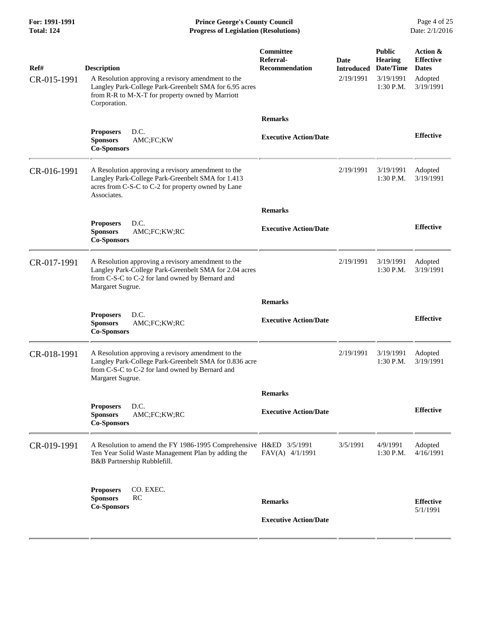**For: 1991-1991 Prince George's County Council** Page 4 of 25<br>**Progress of Legislation (Resolutions)** Date: 2/1/2016 **Total: 124 Progress of Legislation (Resolutions)** 

| Ref#<br>CR-015-1991 | <b>Description</b><br>A Resolution approving a revisory amendment to the<br>Langley Park-College Park-Greenbelt SMA for 6.95 acres<br>from R-R to M-X-T for property owned by Marriott<br>Corporation. | Committee<br>Referral-<br><b>Recommendation</b> | Date<br><b>Introduced</b><br>2/19/1991 | <b>Public</b><br><b>Hearing</b><br>Date/Time<br>3/19/1991<br>1:30 P.M. | Action &<br><b>Effective</b><br><b>Dates</b><br>Adopted<br>3/19/1991 |
|---------------------|--------------------------------------------------------------------------------------------------------------------------------------------------------------------------------------------------------|-------------------------------------------------|----------------------------------------|------------------------------------------------------------------------|----------------------------------------------------------------------|
|                     |                                                                                                                                                                                                        | <b>Remarks</b>                                  |                                        |                                                                        |                                                                      |
|                     | D.C.<br><b>Proposers</b><br><b>Sponsors</b><br>AMC;FC;KW<br><b>Co-Sponsors</b>                                                                                                                         | <b>Executive Action/Date</b>                    |                                        |                                                                        | <b>Effective</b>                                                     |
| CR-016-1991         | A Resolution approving a revisory amendment to the<br>Langley Park-College Park-Greenbelt SMA for 1.413<br>acres from C-S-C to C-2 for property owned by Lane<br>Associates.                           |                                                 | 2/19/1991                              | 3/19/1991<br>1:30 P.M.                                                 | Adopted<br>3/19/1991                                                 |
|                     |                                                                                                                                                                                                        | <b>Remarks</b>                                  |                                        |                                                                        |                                                                      |
|                     | D.C.<br><b>Proposers</b><br>AMC;FC;KW;RC<br><b>Sponsors</b><br><b>Co-Sponsors</b>                                                                                                                      | <b>Executive Action/Date</b>                    |                                        |                                                                        | <b>Effective</b>                                                     |
| CR-017-1991         | A Resolution approving a revisory amendment to the<br>Langley Park-College Park-Greenbelt SMA for 2.04 acres<br>from C-S-C to C-2 for land owned by Bernard and<br>Margaret Sugrue.                    |                                                 | 2/19/1991                              | 3/19/1991<br>1:30 P.M.                                                 | Adopted<br>3/19/1991                                                 |
|                     |                                                                                                                                                                                                        | <b>Remarks</b>                                  |                                        |                                                                        |                                                                      |
|                     | D.C.<br><b>Proposers</b><br>AMC;FC;KW;RC<br><b>Sponsors</b><br><b>Co-Sponsors</b>                                                                                                                      | <b>Executive Action/Date</b>                    |                                        |                                                                        | <b>Effective</b>                                                     |
| CR-018-1991         | A Resolution approving a revisory amendment to the<br>Langley Park-College Park-Greenbelt SMA for 0.836 acre<br>from C-S-C to C-2 for land owned by Bernard and<br>Margaret Sugrue.                    |                                                 | 2/19/1991                              | 3/19/1991<br>$1:30$ P.M.                                               | Adopted<br>3/19/1991                                                 |
|                     |                                                                                                                                                                                                        | <b>Remarks</b>                                  |                                        |                                                                        |                                                                      |
|                     | D.C.<br><b>Proposers</b><br><b>Sponsors</b><br>AMC;FC;KW;RC<br><b>Co-Sponsors</b>                                                                                                                      | <b>Executive Action/Date</b>                    |                                        |                                                                        | <b>Effective</b>                                                     |
| CR-019-1991         | A Resolution to amend the FY 1986-1995 Comprehensive H&ED 3/5/1991<br>Ten Year Solid Waste Management Plan by adding the<br>B&B Partnership Rubblefill.                                                | FAV(A) 4/1/1991                                 | 3/5/1991                               | 4/9/1991<br>$1:30$ P.M.                                                | Adopted<br>4/16/1991                                                 |
|                     | <b>Proposers</b><br>CO. EXEC.                                                                                                                                                                          |                                                 |                                        |                                                                        |                                                                      |
|                     | RC<br><b>Sponsors</b><br><b>Co-Sponsors</b>                                                                                                                                                            | <b>Remarks</b>                                  |                                        |                                                                        | <b>Effective</b><br>5/1/1991                                         |
|                     |                                                                                                                                                                                                        | <b>Executive Action/Date</b>                    |                                        |                                                                        |                                                                      |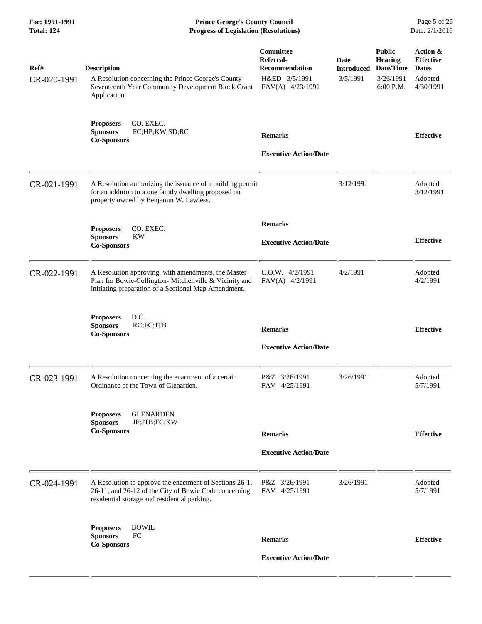| For: 1991-1991<br><b>Total: 124</b> | <b>Prince George's County Council</b><br>Date: 2/1/2016<br><b>Progress of Legislation (Resolutions)</b>                                                                |                                                                                      |                                       |                                                                        |                                                                      |
|-------------------------------------|------------------------------------------------------------------------------------------------------------------------------------------------------------------------|--------------------------------------------------------------------------------------|---------------------------------------|------------------------------------------------------------------------|----------------------------------------------------------------------|
| Ref#<br>CR-020-1991                 | <b>Description</b><br>A Resolution concerning the Prince George's County<br>Seventeenth Year Community Development Block Grant<br>Application.                         | Committee<br>Referral-<br><b>Recommendation</b><br>H&ED 3/5/1991<br>FAV(A) 4/23/1991 | Date<br><b>Introduced</b><br>3/5/1991 | <b>Public</b><br><b>Hearing</b><br>Date/Time<br>3/26/1991<br>6:00 P.M. | Action &<br><b>Effective</b><br><b>Dates</b><br>Adopted<br>4/30/1991 |
|                                     | CO. EXEC.<br><b>Proposers</b><br>FC;HP;KW;SD;RC<br><b>Sponsors</b><br><b>Co-Sponsors</b>                                                                               | <b>Remarks</b><br><b>Executive Action/Date</b>                                       |                                       |                                                                        | <b>Effective</b>                                                     |
| CR-021-1991                         | A Resolution authorizing the issuance of a building permit<br>for an addition to a one family dwelling proposed on<br>property owned by Benjamin W. Lawless.           |                                                                                      | 3/12/1991                             |                                                                        | Adopted<br>3/12/1991                                                 |
|                                     | CO. EXEC.<br><b>Proposers</b><br><b>Sponsors</b><br><b>KW</b><br><b>Co-Sponsors</b>                                                                                    | <b>Remarks</b><br><b>Executive Action/Date</b>                                       |                                       |                                                                        | <b>Effective</b>                                                     |
| CR-022-1991                         | A Resolution approving, with amendments, the Master<br>Plan for Bowie-Collington- Mitchellville & Vicinity and<br>initiating preparation of a Sectional Map Amendment. | $C.0.W.$ 4/2/1991<br>FAV(A) 4/2/1991                                                 | 4/2/1991                              |                                                                        | Adopted<br>4/2/1991                                                  |
|                                     | D.C.<br><b>Proposers</b><br>RC;FC;JTB<br><b>Sponsors</b><br><b>Co-Sponsors</b>                                                                                         | <b>Remarks</b><br><b>Executive Action/Date</b>                                       |                                       |                                                                        | <b>Effective</b>                                                     |
| CR-023-1991                         | A Resolution concerning the enactment of a certain<br>Ordinance of the Town of Glenarden.                                                                              | P&Z 3/26/1991<br>FAV 4/25/1991                                                       | 3/26/1991                             |                                                                        | Adopted<br>5/7/1991                                                  |
|                                     | <b>GLENARDEN</b><br><b>Proposers</b><br>JF;JTB;FC;KW<br><b>Sponsors</b><br><b>Co-Sponsors</b>                                                                          | <b>Remarks</b><br><b>Executive Action/Date</b>                                       |                                       |                                                                        | <b>Effective</b>                                                     |
| CR-024-1991                         | A Resolution to approve the enactment of Sections 26-1,<br>26-11, and 26-12 of the City of Bowie Code concerning<br>residential storage and residential parking.       | P&Z 3/26/1991<br>FAV 4/25/1991                                                       | 3/26/1991                             |                                                                        | Adopted<br>5/7/1991                                                  |
|                                     | <b>Proposers</b><br><b>BOWIE</b><br>FC<br><b>Sponsors</b><br><b>Co-Sponsors</b>                                                                                        | <b>Remarks</b><br><b>Executive Action/Date</b>                                       |                                       |                                                                        | <b>Effective</b>                                                     |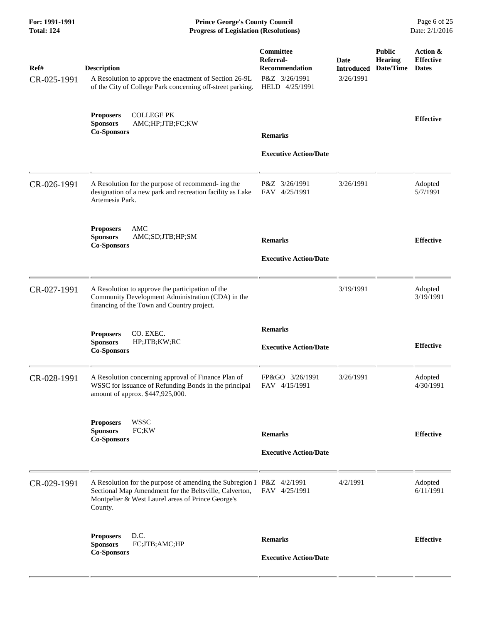| For: 1991-1991<br><b>Total: 124</b> | <b>Prince George's County Council</b><br><b>Progress of Legislation (Resolutions)</b>                                                                                                           |                                                                                    | Page 6 of 25<br>Date: 2/1/2016         |                                              |                                              |
|-------------------------------------|-------------------------------------------------------------------------------------------------------------------------------------------------------------------------------------------------|------------------------------------------------------------------------------------|----------------------------------------|----------------------------------------------|----------------------------------------------|
| Ref#<br>CR-025-1991                 | <b>Description</b><br>A Resolution to approve the enactment of Section 26-9L<br>of the City of College Park concerning off-street parking.                                                      | Committee<br>Referral-<br><b>Recommendation</b><br>P&Z 3/26/1991<br>HELD 4/25/1991 | Date<br><b>Introduced</b><br>3/26/1991 | <b>Public</b><br><b>Hearing</b><br>Date/Time | Action &<br><b>Effective</b><br><b>Dates</b> |
|                                     | <b>COLLEGE PK</b><br><b>Proposers</b><br><b>Sponsors</b><br>AMC;HP;JTB;FC;KW<br><b>Co-Sponsors</b>                                                                                              | <b>Remarks</b><br><b>Executive Action/Date</b>                                     |                                        |                                              | <b>Effective</b>                             |
| CR-026-1991                         | A Resolution for the purpose of recommend- ing the<br>designation of a new park and recreation facility as Lake<br>Artemesia Park.                                                              | P&Z 3/26/1991<br>FAV 4/25/1991                                                     | 3/26/1991                              |                                              | Adopted<br>5/7/1991                          |
|                                     | AMC<br><b>Proposers</b><br><b>Sponsors</b><br>AMC;SD;JTB;HP;SM<br><b>Co-Sponsors</b>                                                                                                            | <b>Remarks</b><br><b>Executive Action/Date</b>                                     |                                        |                                              | <b>Effective</b>                             |
| CR-027-1991                         | A Resolution to approve the participation of the<br>Community Development Administration (CDA) in the<br>financing of the Town and Country project.                                             |                                                                                    | 3/19/1991                              |                                              | Adopted<br>3/19/1991                         |
|                                     | <b>Proposers</b><br>CO. EXEC.<br><b>Sponsors</b><br>HP;JTB;KW;RC<br><b>Co-Sponsors</b>                                                                                                          | <b>Remarks</b><br><b>Executive Action/Date</b>                                     |                                        |                                              | <b>Effective</b>                             |
| CR-028-1991                         | A Resolution concerning approval of Finance Plan of<br>WSSC for issuance of Refunding Bonds in the principal<br>amount of approx. \$447,925,000.                                                | FP&GO 3/26/1991<br>FAV 4/15/1991                                                   | 3/26/1991                              |                                              | Adopted<br>4/30/1991                         |
|                                     | <b>WSSC</b><br><b>Proposers</b><br><b>Sponsors</b><br>FC;KW<br><b>Co-Sponsors</b>                                                                                                               | <b>Remarks</b><br><b>Executive Action/Date</b>                                     |                                        |                                              | <b>Effective</b>                             |
| CR-029-1991                         | A Resolution for the purpose of amending the Subregion I P&Z 4/2/1991<br>Sectional Map Amendment for the Beltsville, Calverton,<br>Montpelier & West Laurel areas of Prince George's<br>County. | FAV 4/25/1991                                                                      | 4/2/1991                               |                                              | Adopted<br>6/11/1991                         |
|                                     | D.C.<br><b>Proposers</b><br><b>Sponsors</b><br>FC;JTB;AMC;HP<br><b>Co-Sponsors</b>                                                                                                              | <b>Remarks</b><br><b>Executive Action/Date</b>                                     |                                        |                                              | <b>Effective</b>                             |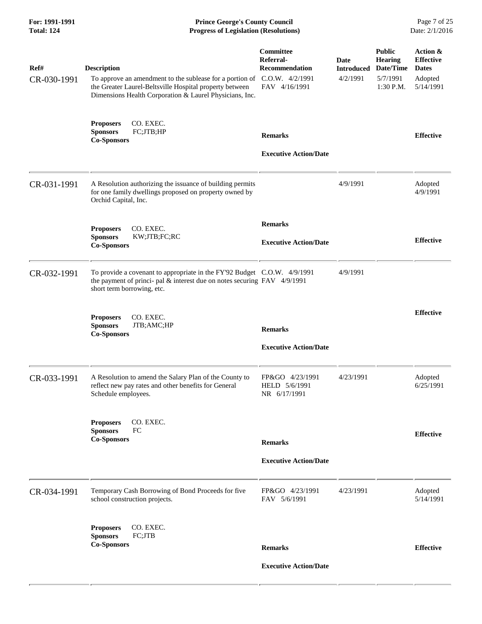| For: 1991-1991<br><b>Total: 124</b> | <b>Prince George's County Council</b><br>Date: 2/1/2016<br><b>Progress of Legislation (Resolutions)</b>                                                                                                              |                                                           |                                              |                                                                         |                                                                      |
|-------------------------------------|----------------------------------------------------------------------------------------------------------------------------------------------------------------------------------------------------------------------|-----------------------------------------------------------|----------------------------------------------|-------------------------------------------------------------------------|----------------------------------------------------------------------|
| Ref#<br>CR-030-1991                 | <b>Description</b><br>To approve an amendment to the sublease for a portion of C.O.W. 4/2/1991<br>the Greater Laurel-Beltsville Hospital property between<br>Dimensions Health Corporation & Laurel Physicians, Inc. | Committee<br>Referral-<br>Recommendation<br>FAV 4/16/1991 | <b>Date</b><br><b>Introduced</b><br>4/2/1991 | <b>Public</b><br><b>Hearing</b><br>Date/Time<br>5/7/1991<br>$1:30$ P.M. | Action &<br><b>Effective</b><br><b>Dates</b><br>Adopted<br>5/14/1991 |
|                                     | <b>Proposers</b><br>CO. EXEC.<br>FC;JTB;HP<br><b>Sponsors</b><br><b>Co-Sponsors</b>                                                                                                                                  | <b>Remarks</b><br><b>Executive Action/Date</b>            |                                              |                                                                         | <b>Effective</b>                                                     |
| CR-031-1991                         | A Resolution authorizing the issuance of building permits<br>for one family dwellings proposed on property owned by<br>Orchid Capital, Inc.                                                                          |                                                           | 4/9/1991                                     |                                                                         | Adopted<br>4/9/1991                                                  |
|                                     | CO. EXEC.<br><b>Proposers</b><br><b>Sponsors</b><br>KW;JTB;FC;RC<br><b>Co-Sponsors</b>                                                                                                                               | <b>Remarks</b><br><b>Executive Action/Date</b>            |                                              |                                                                         | <b>Effective</b>                                                     |
| CR-032-1991                         | To provide a covenant to appropriate in the FY'92 Budget C.O.W. 4/9/1991<br>the payment of princi- pal & interest due on notes securing FAV 4/9/1991<br>short term borrowing, etc.                                   |                                                           | 4/9/1991                                     |                                                                         |                                                                      |
|                                     | CO. EXEC.<br><b>Proposers</b><br><b>Sponsors</b><br>JTB;AMC;HP<br><b>Co-Sponsors</b>                                                                                                                                 | <b>Remarks</b><br><b>Executive Action/Date</b>            |                                              |                                                                         | <b>Effective</b>                                                     |
| CR-033-1991                         | A Resolution to amend the Salary Plan of the County to<br>reflect new pay rates and other benefits for General<br>Schedule employees.                                                                                | FP&GO 4/23/1991<br>HELD 5/6/1991<br>NR 6/17/1991          | 4/23/1991                                    |                                                                         | Adopted<br>6/25/1991                                                 |
|                                     | CO. EXEC.<br><b>Proposers</b><br><b>Sponsors</b><br>FC<br><b>Co-Sponsors</b>                                                                                                                                         | <b>Remarks</b><br><b>Executive Action/Date</b>            |                                              |                                                                         | <b>Effective</b>                                                     |
| CR-034-1991                         | Temporary Cash Borrowing of Bond Proceeds for five<br>school construction projects.                                                                                                                                  | FP&GO 4/23/1991<br>FAV 5/6/1991                           | 4/23/1991                                    |                                                                         | Adopted<br>5/14/1991                                                 |
|                                     | <b>Proposers</b><br>CO. EXEC.<br><b>Sponsors</b><br>FC;JTB<br><b>Co-Sponsors</b>                                                                                                                                     | <b>Remarks</b><br><b>Executive Action/Date</b>            |                                              |                                                                         | <b>Effective</b>                                                     |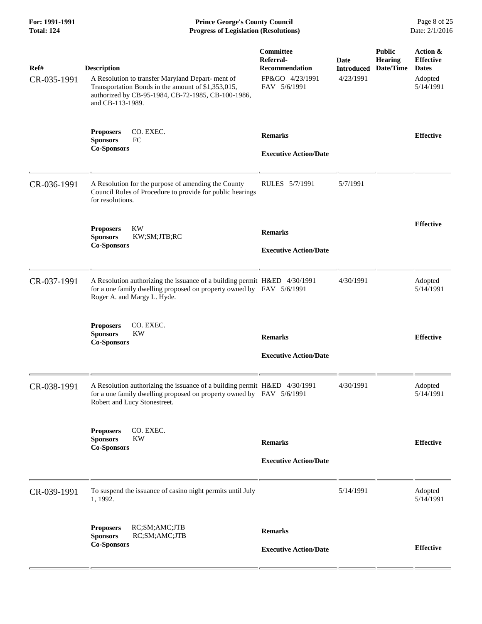**For: 1991-1991 Prince George's County Council** Page 8 of 25<br>**Progress of Legislation (Resolutions)** Date: 2/1/2016 **Total: 124 Progress of Legislation (Resolutions)** 

| Ref#<br>CR-035-1991 | <b>Description</b><br>A Resolution to transfer Maryland Depart-ment of<br>Transportation Bonds in the amount of \$1,353,015,<br>authorized by CB-95-1984, CB-72-1985, CB-100-1986,<br>and CB-113-1989. | Committee<br>Referral-<br><b>Recommendation</b><br>FP&GO 4/23/1991<br>FAV 5/6/1991 | Date<br><b>Introduced</b><br>4/23/1991 | <b>Public</b><br><b>Hearing</b><br>Date/Time | Action &<br><b>Effective</b><br><b>Dates</b><br>Adopted<br>5/14/1991 |
|---------------------|--------------------------------------------------------------------------------------------------------------------------------------------------------------------------------------------------------|------------------------------------------------------------------------------------|----------------------------------------|----------------------------------------------|----------------------------------------------------------------------|
|                     | CO. EXEC.<br><b>Proposers</b><br><b>Sponsors</b><br>FC<br><b>Co-Sponsors</b>                                                                                                                           | <b>Remarks</b><br><b>Executive Action/Date</b>                                     |                                        |                                              | <b>Effective</b>                                                     |
| CR-036-1991         | A Resolution for the purpose of amending the County<br>Council Rules of Procedure to provide for public hearings<br>for resolutions.                                                                   | RULES 5/7/1991                                                                     | 5/7/1991                               |                                              |                                                                      |
|                     | <b>KW</b><br><b>Proposers</b><br><b>Sponsors</b><br>KW;SM;JTB;RC<br><b>Co-Sponsors</b>                                                                                                                 | <b>Remarks</b><br><b>Executive Action/Date</b>                                     |                                        |                                              | <b>Effective</b>                                                     |
| CR-037-1991         | A Resolution authorizing the issuance of a building permit H&ED 4/30/1991<br>for a one family dwelling proposed on property owned by FAV 5/6/1991<br>Roger A. and Margy L. Hyde.                       |                                                                                    | 4/30/1991                              |                                              | Adopted<br>5/14/1991                                                 |
|                     | CO. EXEC.<br><b>Proposers</b><br><b>Sponsors</b><br>KW<br><b>Co-Sponsors</b>                                                                                                                           | <b>Remarks</b><br><b>Executive Action/Date</b>                                     |                                        |                                              | <b>Effective</b>                                                     |
| CR-038-1991         | A Resolution authorizing the issuance of a building permit H&ED 4/30/1991<br>for a one family dwelling proposed on property owned by FAV 5/6/1991<br>Robert and Lucy Stonestreet.                      |                                                                                    | 4/30/1991                              |                                              | Adopted<br>5/14/1991                                                 |
|                     | CO. EXEC.<br><b>Proposers</b><br><b>Sponsors</b><br><b>KW</b><br><b>Co-Sponsors</b>                                                                                                                    | <b>Remarks</b><br><b>Executive Action/Date</b>                                     |                                        |                                              | <b>Effective</b>                                                     |
| CR-039-1991         | To suspend the issuance of casino night permits until July<br>1, 1992.                                                                                                                                 |                                                                                    | 5/14/1991                              |                                              | Adopted<br>5/14/1991                                                 |
|                     | <b>Proposers</b><br>RC;SM;AMC;JTB<br><b>Sponsors</b><br>RC;SM;AMC;JTB<br><b>Co-Sponsors</b>                                                                                                            | <b>Remarks</b><br><b>Executive Action/Date</b>                                     |                                        |                                              | <b>Effective</b>                                                     |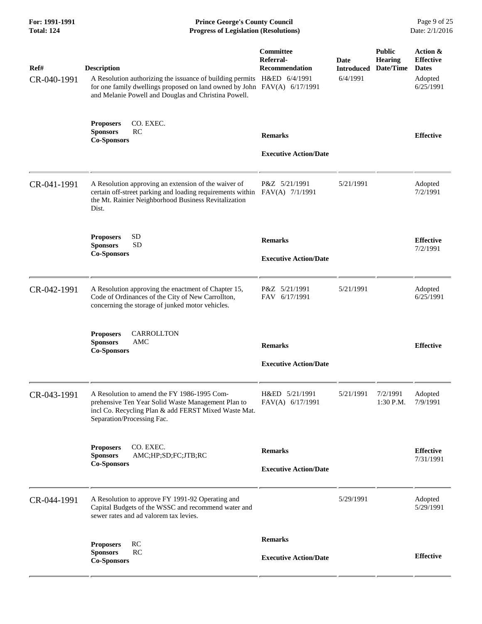| For: 1991-1991<br><b>Total: 124</b> | <b>Prince George's County Council</b><br><b>Progress of Legislation (Resolutions)</b><br>Date: 2/1/2016                                                                                                                           |                                                        |                                       |                                              |                                                                      |
|-------------------------------------|-----------------------------------------------------------------------------------------------------------------------------------------------------------------------------------------------------------------------------------|--------------------------------------------------------|---------------------------------------|----------------------------------------------|----------------------------------------------------------------------|
| Ref#<br>CR-040-1991                 | <b>Description</b><br>A Resolution authorizing the issuance of building permits H&ED 6/4/1991<br>for one family dwellings proposed on land owned by John FAV(A) 6/17/1991<br>and Melanie Powell and Douglas and Christina Powell. | <b>Committee</b><br>Referral-<br><b>Recommendation</b> | Date<br><b>Introduced</b><br>6/4/1991 | <b>Public</b><br><b>Hearing</b><br>Date/Time | Action &<br><b>Effective</b><br><b>Dates</b><br>Adopted<br>6/25/1991 |
|                                     | <b>Proposers</b><br>CO. EXEC.<br>RC<br><b>Sponsors</b><br><b>Co-Sponsors</b>                                                                                                                                                      | <b>Remarks</b><br><b>Executive Action/Date</b>         |                                       |                                              | <b>Effective</b>                                                     |
| CR-041-1991                         | A Resolution approving an extension of the waiver of<br>certain off-street parking and loading requirements within<br>the Mt. Rainier Neighborhood Business Revitalization<br>Dist.                                               | P&Z 5/21/1991<br>FAV(A) 7/1/1991                       | 5/21/1991                             |                                              | Adopted<br>7/2/1991                                                  |
|                                     | <b>SD</b><br><b>Proposers</b><br><b>SD</b><br><b>Sponsors</b><br><b>Co-Sponsors</b>                                                                                                                                               | <b>Remarks</b><br><b>Executive Action/Date</b>         |                                       |                                              | <b>Effective</b><br>7/2/1991                                         |
| CR-042-1991                         | A Resolution approving the enactment of Chapter 15,<br>Code of Ordinances of the City of New Carrollton,<br>concerning the storage of junked motor vehicles.                                                                      | P&Z 5/21/1991<br>FAV 6/17/1991                         | 5/21/1991                             |                                              | Adopted<br>6/25/1991                                                 |
|                                     | <b>Proposers</b><br>CARROLLTON<br>AMC<br><b>Sponsors</b><br><b>Co-Sponsors</b>                                                                                                                                                    | <b>Remarks</b><br><b>Executive Action/Date</b>         |                                       |                                              | <b>Effective</b>                                                     |
| CR-043-1991                         | A Resolution to amend the FY 1986-1995 Com-<br>prehensive Ten Year Solid Waste Management Plan to<br>incl Co. Recycling Plan & add FERST Mixed Waste Mat.<br>Separation/Processing Fac.                                           | H&ED 5/21/1991<br>FAV(A) 6/17/1991                     | 5/21/1991                             | 7/2/1991<br>1:30 P.M.                        | Adopted<br>7/9/1991                                                  |
|                                     | CO. EXEC.<br><b>Proposers</b><br><b>Sponsors</b><br>AMC;HP;SD;FC;JTB;RC<br><b>Co-Sponsors</b>                                                                                                                                     | <b>Remarks</b><br><b>Executive Action/Date</b>         |                                       |                                              | <b>Effective</b><br>7/31/1991                                        |
| CR-044-1991                         | A Resolution to approve FY 1991-92 Operating and<br>Capital Budgets of the WSSC and recommend water and<br>sewer rates and ad valorem tax levies.                                                                                 |                                                        | 5/29/1991                             |                                              | Adopted<br>5/29/1991                                                 |
|                                     | RC<br><b>Proposers</b><br>RC<br><b>Sponsors</b><br><b>Co-Sponsors</b>                                                                                                                                                             | <b>Remarks</b><br><b>Executive Action/Date</b>         |                                       |                                              | <b>Effective</b>                                                     |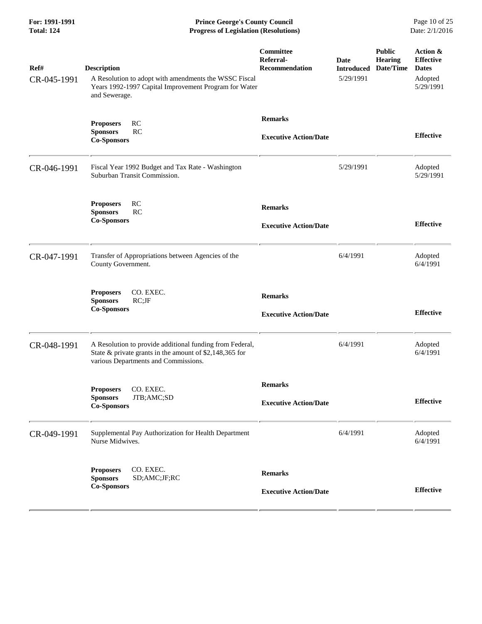**For: 1991-1991 Prince George's County Council** Page 10 of 25<br> **Progress of Legislation (Resolutions)** Date: 2/1/2016 **Total: 124 Progress of Legislation (Resolutions)** 

| Ref#<br>CR-045-1991 | <b>Description</b><br>A Resolution to adopt with amendments the WSSC Fiscal<br>Years 1992-1997 Capital Improvement Program for Water<br>and Sewerage.       | Committee<br>Referral-<br><b>Recommendation</b> | Date<br><b>Introduced</b><br>5/29/1991 | <b>Public</b><br><b>Hearing</b><br>Date/Time | Action &<br><b>Effective</b><br><b>Dates</b><br>Adopted<br>5/29/1991 |
|---------------------|-------------------------------------------------------------------------------------------------------------------------------------------------------------|-------------------------------------------------|----------------------------------------|----------------------------------------------|----------------------------------------------------------------------|
|                     | RC<br><b>Proposers</b><br>RC<br><b>Sponsors</b><br><b>Co-Sponsors</b>                                                                                       | <b>Remarks</b><br><b>Executive Action/Date</b>  |                                        |                                              | <b>Effective</b>                                                     |
| CR-046-1991         | Fiscal Year 1992 Budget and Tax Rate - Washington<br>Suburban Transit Commission.                                                                           |                                                 | 5/29/1991                              |                                              | Adopted<br>5/29/1991                                                 |
|                     | RC<br><b>Proposers</b><br>RC<br><b>Sponsors</b><br><b>Co-Sponsors</b>                                                                                       | <b>Remarks</b><br><b>Executive Action/Date</b>  |                                        |                                              | <b>Effective</b>                                                     |
| CR-047-1991         | Transfer of Appropriations between Agencies of the<br>County Government.                                                                                    |                                                 | 6/4/1991                               |                                              | Adopted<br>6/4/1991                                                  |
|                     | CO. EXEC.<br><b>Proposers</b><br><b>Sponsors</b><br>$RC;$ J $F$<br><b>Co-Sponsors</b>                                                                       | <b>Remarks</b><br><b>Executive Action/Date</b>  |                                        |                                              | <b>Effective</b>                                                     |
| CR-048-1991         | A Resolution to provide additional funding from Federal,<br>State & private grants in the amount of \$2,148,365 for<br>various Departments and Commissions. |                                                 | 6/4/1991                               |                                              | Adopted<br>6/4/1991                                                  |
|                     | CO. EXEC.<br><b>Proposers</b><br>JTB;AMC;SD<br><b>Sponsors</b><br><b>Co-Sponsors</b>                                                                        | <b>Remarks</b><br><b>Executive Action/Date</b>  |                                        |                                              | <b>Effective</b>                                                     |
| CR-049-1991         | Supplemental Pay Authorization for Health Department<br>Nurse Midwives.                                                                                     |                                                 | 6/4/1991                               |                                              | Adopted<br>6/4/1991                                                  |
|                     | CO. EXEC.<br><b>Proposers</b><br><b>Sponsors</b><br>SD;AMC;JF;RC<br><b>Co-Sponsors</b>                                                                      | <b>Remarks</b><br><b>Executive Action/Date</b>  |                                        |                                              | <b>Effective</b>                                                     |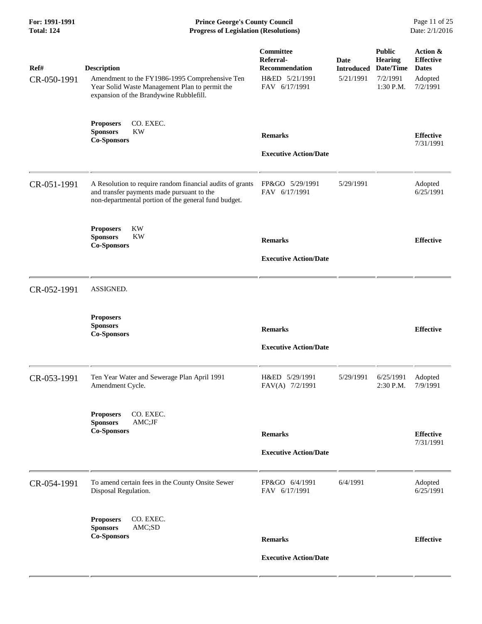**For: 1991-1991 Prince George's County Council** Page 11 of 25<br> **Prince George's County Council** Page 11 of 25<br> **Progress of Legislation (Resolutions)** Date: 2/1/2016 **Progress of Legislation (Resolutions)** 

| Ref#<br>CR-050-1991 | <b>Description</b><br>Amendment to the FY1986-1995 Comprehensive Ten<br>Year Solid Waste Management Plan to permit the<br>expansion of the Brandywine Rubblefill. | Committee<br>Referral-<br><b>Recommendation</b><br>H&ED 5/21/1991<br>FAV 6/17/1991 | Date<br><b>Introduced</b><br>5/21/1991 | <b>Public</b><br><b>Hearing</b><br>Date/Time<br>7/2/1991<br>1:30 P.M. | Action &<br><b>Effective</b><br><b>Dates</b><br>Adopted<br>7/2/1991 |
|---------------------|-------------------------------------------------------------------------------------------------------------------------------------------------------------------|------------------------------------------------------------------------------------|----------------------------------------|-----------------------------------------------------------------------|---------------------------------------------------------------------|
|                     | <b>Proposers</b><br>CO. EXEC.<br><b>Sponsors</b><br><b>KW</b><br><b>Co-Sponsors</b>                                                                               | <b>Remarks</b><br><b>Executive Action/Date</b>                                     |                                        |                                                                       | <b>Effective</b><br>7/31/1991                                       |
| CR-051-1991         | A Resolution to require random financial audits of grants<br>and transfer payments made pursuant to the<br>non-departmental portion of the general fund budget.   | FP&GO 5/29/1991<br>FAV 6/17/1991                                                   | 5/29/1991                              |                                                                       | Adopted<br>6/25/1991                                                |
|                     | KW<br><b>Proposers</b><br><b>Sponsors</b><br>KW<br><b>Co-Sponsors</b>                                                                                             | <b>Remarks</b><br><b>Executive Action/Date</b>                                     |                                        |                                                                       | <b>Effective</b>                                                    |
| CR-052-1991         | ASSIGNED.                                                                                                                                                         |                                                                                    |                                        |                                                                       |                                                                     |
|                     | <b>Proposers</b><br><b>Sponsors</b><br><b>Co-Sponsors</b>                                                                                                         | <b>Remarks</b><br><b>Executive Action/Date</b>                                     |                                        |                                                                       | <b>Effective</b>                                                    |
| CR-053-1991         | Ten Year Water and Sewerage Plan April 1991<br>Amendment Cycle.                                                                                                   | H&ED 5/29/1991<br>FAV(A) 7/2/1991                                                  | 5/29/1991                              | 6/25/1991<br>2:30 P.M.                                                | Adopted<br>7/9/1991                                                 |
|                     | <b>Proposers</b><br>CO. EXEC.<br>AMC;JF<br><b>Sponsors</b><br><b>Co-Sponsors</b>                                                                                  | <b>Remarks</b><br><b>Executive Action/Date</b>                                     |                                        |                                                                       | <b>Effective</b><br>7/31/1991                                       |
| CR-054-1991         | To amend certain fees in the County Onsite Sewer<br>Disposal Regulation.                                                                                          | FP&GO 6/4/1991<br>FAV 6/17/1991                                                    | 6/4/1991                               |                                                                       | Adopted<br>6/25/1991                                                |
|                     | CO. EXEC.<br><b>Proposers</b><br><b>Sponsors</b><br>AMC;SD<br><b>Co-Sponsors</b>                                                                                  | <b>Remarks</b><br><b>Executive Action/Date</b>                                     |                                        |                                                                       | <b>Effective</b>                                                    |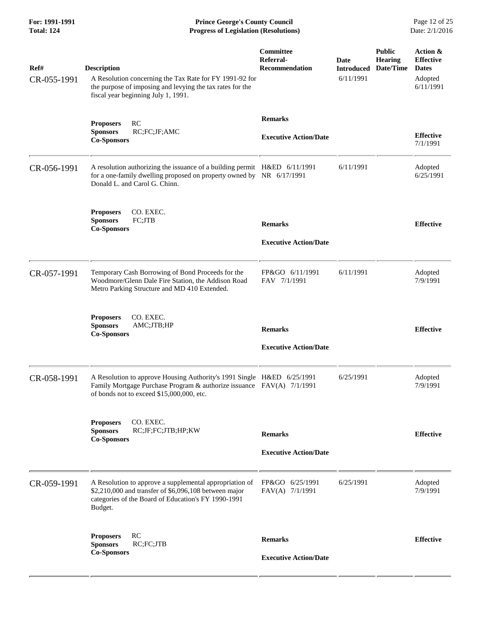**For: 1991-1991 Prince George's County Council** Page 12 of 25<br> **Prince George's County Council** Page 12 of 25<br> **Progress of Legislation (Resolutions)** Date: 2/1/2016 **Progress of Legislation (Resolutions)** 

| Ref#<br>CR-055-1991 | <b>Description</b><br>A Resolution concerning the Tax Rate for FY 1991-92 for<br>the purpose of imposing and levying the tax rates for the<br>fiscal year beginning July 1, 1991.            | Committee<br>Referral-<br>Recommendation       | Date<br><b>Introduced</b><br>6/11/1991 | <b>Public</b><br><b>Hearing</b><br>Date/Time | Action &<br><b>Effective</b><br><b>Dates</b><br>Adopted<br>6/11/1991 |
|---------------------|----------------------------------------------------------------------------------------------------------------------------------------------------------------------------------------------|------------------------------------------------|----------------------------------------|----------------------------------------------|----------------------------------------------------------------------|
|                     | RC<br><b>Proposers</b><br>RC;FC;JF;AMC<br><b>Sponsors</b><br><b>Co-Sponsors</b>                                                                                                              | <b>Remarks</b><br><b>Executive Action/Date</b> |                                        |                                              | <b>Effective</b><br>7/1/1991                                         |
| CR-056-1991         | A resolution authorizing the issuance of a building permit H&ED 6/11/1991<br>for a one-family dwelling proposed on property owned by NR 6/17/1991<br>Donald L. and Carol G. Chinn.           |                                                | 6/11/1991                              |                                              | Adopted<br>6/25/1991                                                 |
|                     | CO. EXEC.<br><b>Proposers</b><br><b>Sponsors</b><br>FC;JTB<br><b>Co-Sponsors</b>                                                                                                             | <b>Remarks</b><br><b>Executive Action/Date</b> |                                        |                                              | <b>Effective</b>                                                     |
| CR-057-1991         | Temporary Cash Borrowing of Bond Proceeds for the<br>Woodmore/Glenn Dale Fire Station, the Addison Road<br>Metro Parking Structure and MD 410 Extended.                                      | FP&GO 6/11/1991<br>FAV 7/1/1991                | 6/11/1991                              |                                              | Adopted<br>7/9/1991                                                  |
|                     | CO. EXEC.<br><b>Proposers</b><br>AMC;JTB;HP<br><b>Sponsors</b><br><b>Co-Sponsors</b>                                                                                                         | <b>Remarks</b><br><b>Executive Action/Date</b> |                                        |                                              | <b>Effective</b>                                                     |
| CR-058-1991         | A Resolution to approve Housing Authority's 1991 Single H&ED 6/25/1991<br>Family Mortgage Purchase Program & authorize issuance FAV(A) 7/1/1991<br>of bonds not to exceed \$15,000,000, etc. |                                                | 6/25/1991                              |                                              | Adopted<br>7/9/1991                                                  |
|                     | CO. EXEC.<br><b>Proposers</b><br><b>Sponsors</b><br>RC;JF;FC;JTB;HP;KW<br><b>Co-Sponsors</b>                                                                                                 | <b>Remarks</b><br><b>Executive Action/Date</b> |                                        |                                              | <b>Effective</b>                                                     |
| CR-059-1991         | A Resolution to approve a supplemental appropriation of<br>\$2,210,000 and transfer of \$6,096,108 between major<br>categories of the Board of Education's FY 1990-1991<br>Budget.           | FP&GO 6/25/1991<br>FAV(A) 7/1/1991             | 6/25/1991                              |                                              | Adopted<br>7/9/1991                                                  |
|                     | RC<br><b>Proposers</b><br><b>Sponsors</b><br>RC;FC;JTB<br><b>Co-Sponsors</b>                                                                                                                 | <b>Remarks</b><br><b>Executive Action/Date</b> |                                        |                                              | <b>Effective</b>                                                     |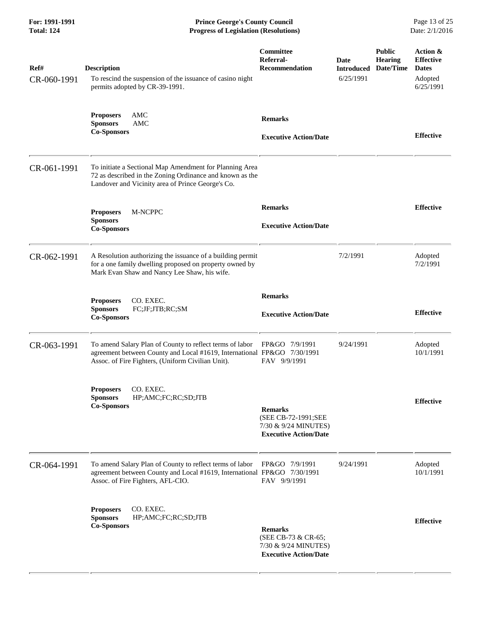**For: 1991-1991 Prince George's County Council** Page 13 of 25<br>**Progress of Legislation (Resolutions)** Date: 2/1/2016 **Total: 124 Progress of Legislation (Resolutions)** 

| Ref#<br>CR-060-1991 | <b>Description</b><br>To rescind the suspension of the issuance of casino night<br>permits adopted by CR-39-1991.                                                                        | Committee<br>Referral-<br><b>Recommendation</b>                                               | <b>Date</b><br><b>Introduced</b><br>6/25/1991 | <b>Public</b><br><b>Hearing</b><br>Date/Time | Action &<br><b>Effective</b><br><b>Dates</b><br>Adopted<br>6/25/1991 |
|---------------------|------------------------------------------------------------------------------------------------------------------------------------------------------------------------------------------|-----------------------------------------------------------------------------------------------|-----------------------------------------------|----------------------------------------------|----------------------------------------------------------------------|
|                     | AMC<br><b>Proposers</b><br><b>Sponsors</b><br><b>AMC</b><br><b>Co-Sponsors</b>                                                                                                           | <b>Remarks</b><br><b>Executive Action/Date</b>                                                |                                               |                                              | <b>Effective</b>                                                     |
| CR-061-1991         | To initiate a Sectional Map Amendment for Planning Area<br>72 as described in the Zoning Ordinance and known as the<br>Landover and Vicinity area of Prince George's Co.                 |                                                                                               |                                               |                                              |                                                                      |
|                     | M-NCPPC<br><b>Proposers</b><br><b>Sponsors</b><br><b>Co-Sponsors</b>                                                                                                                     | <b>Remarks</b><br><b>Executive Action/Date</b>                                                |                                               |                                              | <b>Effective</b>                                                     |
| CR-062-1991         | A Resolution authorizing the issuance of a building permit<br>for a one family dwelling proposed on property owned by<br>Mark Evan Shaw and Nancy Lee Shaw, his wife.                    |                                                                                               | 7/2/1991                                      |                                              | Adopted<br>7/2/1991                                                  |
|                     | <b>Proposers</b><br>CO. EXEC.<br><b>Sponsors</b><br>FC;JF;JTB;RC;SM<br><b>Co-Sponsors</b>                                                                                                | <b>Remarks</b><br><b>Executive Action/Date</b>                                                |                                               |                                              | <b>Effective</b>                                                     |
| CR-063-1991         | To amend Salary Plan of County to reflect terms of labor<br>agreement between County and Local #1619, International FP&GO 7/30/1991<br>Assoc. of Fire Fighters, (Uniform Civilian Unit). | FP&GO 7/9/1991<br>FAV 9/9/1991                                                                | 9/24/1991                                     |                                              | Adopted<br>10/1/1991                                                 |
|                     | CO. EXEC.<br><b>Proposers</b><br>HP;AMC;FC;RC;SD;JTB<br><b>Sponsors</b><br><b>Co-Sponsors</b>                                                                                            | <b>Remarks</b><br>(SEE CB-72-1991;SEE<br>7/30 & 9/24 MINUTES)<br><b>Executive Action/Date</b> |                                               |                                              | <b>Effective</b>                                                     |
| CR-064-1991         | To amend Salary Plan of County to reflect terms of labor<br>agreement between County and Local #1619, International FP&GO 7/30/1991<br>Assoc. of Fire Fighters, AFL-CIO.                 | FP&GO 7/9/1991<br>FAV 9/9/1991                                                                | 9/24/1991                                     |                                              | Adopted<br>10/1/1991                                                 |
|                     | CO. EXEC.<br><b>Proposers</b><br><b>Sponsors</b><br>HP;AMC;FC;RC;SD;JTB<br><b>Co-Sponsors</b>                                                                                            | <b>Remarks</b><br>(SEE CB-73 & CR-65;<br>7/30 & 9/24 MINUTES)<br><b>Executive Action/Date</b> |                                               |                                              | <b>Effective</b>                                                     |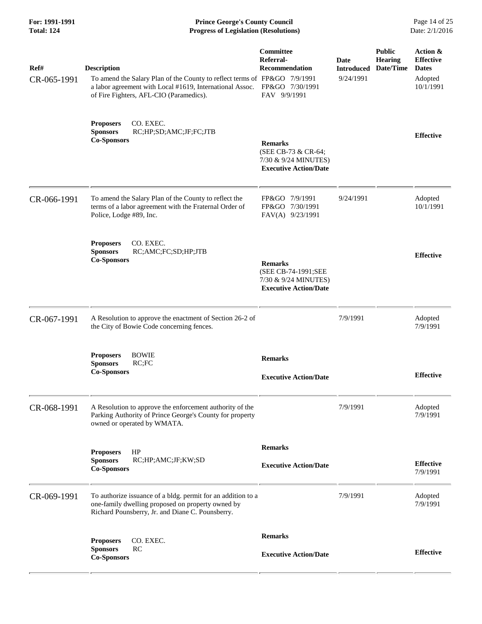| For: 1991-1991<br><b>Total: 124</b> | <b>Prince George's County Council</b><br><b>Progress of Legislation (Resolutions)</b>                                                                                                                  |                                                                                               |                                               |                                              | Page 14 of 25<br>Date: 2/1/2016                                      |  |
|-------------------------------------|--------------------------------------------------------------------------------------------------------------------------------------------------------------------------------------------------------|-----------------------------------------------------------------------------------------------|-----------------------------------------------|----------------------------------------------|----------------------------------------------------------------------|--|
| Ref#<br>CR-065-1991                 | <b>Description</b><br>To amend the Salary Plan of the County to reflect terms of FP&GO 7/9/1991<br>a labor agreement with Local #1619, International Assoc.<br>of Fire Fighters, AFL-CIO (Paramedics). | Committee<br>Referral-<br><b>Recommendation</b><br>FP&GO 7/30/1991<br>FAV 9/9/1991            | <b>Date</b><br><b>Introduced</b><br>9/24/1991 | <b>Public</b><br><b>Hearing</b><br>Date/Time | Action &<br><b>Effective</b><br><b>Dates</b><br>Adopted<br>10/1/1991 |  |
|                                     | CO. EXEC.<br><b>Proposers</b><br>RC;HP;SD;AMC;JF;FC;JTB<br><b>Sponsors</b><br><b>Co-Sponsors</b>                                                                                                       | <b>Remarks</b><br>(SEE CB-73 & CR-64;<br>7/30 & 9/24 MINUTES)<br><b>Executive Action/Date</b> |                                               |                                              | <b>Effective</b>                                                     |  |
| CR-066-1991                         | To amend the Salary Plan of the County to reflect the<br>terms of a labor agreement with the Fraternal Order of<br>Police, Lodge #89, Inc.                                                             | FP&GO 7/9/1991<br>FP&GO 7/30/1991<br>FAV(A) 9/23/1991                                         | 9/24/1991                                     |                                              | Adopted<br>10/1/1991                                                 |  |
|                                     | CO. EXEC.<br><b>Proposers</b><br><b>Sponsors</b><br>RC;AMC;FC;SD;HP;JTB<br><b>Co-Sponsors</b>                                                                                                          | <b>Remarks</b><br>(SEE CB-74-1991;SEE<br>7/30 & 9/24 MINUTES)<br><b>Executive Action/Date</b> |                                               |                                              | <b>Effective</b>                                                     |  |
| CR-067-1991                         | A Resolution to approve the enactment of Section 26-2 of<br>the City of Bowie Code concerning fences.                                                                                                  |                                                                                               | 7/9/1991                                      |                                              | Adopted<br>7/9/1991                                                  |  |
|                                     | <b>Proposers</b><br><b>BOWIE</b><br>RC;FC<br><b>Sponsors</b><br><b>Co-Sponsors</b>                                                                                                                     | <b>Remarks</b><br><b>Executive Action/Date</b>                                                |                                               |                                              | <b>Effective</b>                                                     |  |
| CR-068-1991                         | A Resolution to approve the enforcement authority of the<br>Parking Authority of Prince George's County for property<br>owned or operated by WMATA.                                                    |                                                                                               | 7/9/1991                                      |                                              | Adopted<br>7/9/1991                                                  |  |
|                                     | HP<br><b>Proposers</b><br><b>Sponsors</b><br>RC;HP;AMC;JF;KW;SD<br><b>Co-Sponsors</b>                                                                                                                  | <b>Remarks</b><br><b>Executive Action/Date</b>                                                |                                               |                                              | <b>Effective</b><br>7/9/1991                                         |  |
| CR-069-1991                         | To authorize issuance of a bldg. permit for an addition to a<br>one-family dwelling proposed on property owned by<br>Richard Pounsberry, Jr. and Diane C. Pounsberry.                                  |                                                                                               | 7/9/1991                                      |                                              | Adopted<br>7/9/1991                                                  |  |
|                                     | CO. EXEC.<br><b>Proposers</b><br><b>Sponsors</b><br>RC<br><b>Co-Sponsors</b>                                                                                                                           | <b>Remarks</b><br><b>Executive Action/Date</b>                                                |                                               |                                              | <b>Effective</b>                                                     |  |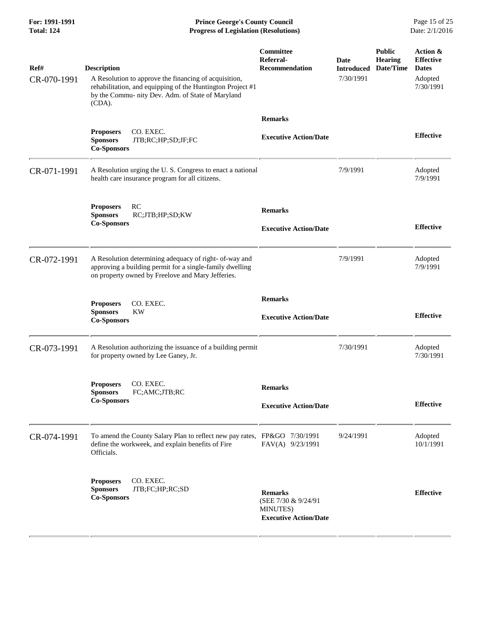**For: 1991-1991 Prince George's County Council** Page 15 of 25<br> **Prince George's County Council** Page 15 of 25<br> **Progress of Legislation (Resolutions)** Date: 2/1/2016 **Total: 124 Progress of Legislation (Resolutions)** 

| Ref#<br>CR-070-1991 | <b>Description</b><br>A Resolution to approve the financing of acquisition,<br>rehabilitation, and equipping of the Huntington Project #1<br>by the Commu- nity Dev. Adm. of State of Maryland<br>(CDA). | Committee<br>Referral-<br><b>Recommendation</b>                                   | <b>Date</b><br><b>Introduced</b><br>7/30/1991 | <b>Public</b><br><b>Hearing</b><br>Date/Time | Action &<br><b>Effective</b><br><b>Dates</b><br>Adopted<br>7/30/1991 |
|---------------------|----------------------------------------------------------------------------------------------------------------------------------------------------------------------------------------------------------|-----------------------------------------------------------------------------------|-----------------------------------------------|----------------------------------------------|----------------------------------------------------------------------|
|                     | CO. EXEC.<br><b>Proposers</b><br><b>Sponsors</b><br>JTB;RC;HP;SD;JF;FC<br><b>Co-Sponsors</b>                                                                                                             | <b>Remarks</b><br><b>Executive Action/Date</b>                                    |                                               |                                              | <b>Effective</b>                                                     |
| CR-071-1991         | A Resolution urging the U.S. Congress to enact a national<br>health care insurance program for all citizens.                                                                                             |                                                                                   | 7/9/1991                                      |                                              | Adopted<br>7/9/1991                                                  |
|                     | RC<br><b>Proposers</b><br><b>Sponsors</b><br>RC;JTB;HP;SD;KW<br><b>Co-Sponsors</b>                                                                                                                       | <b>Remarks</b><br><b>Executive Action/Date</b>                                    |                                               |                                              | <b>Effective</b>                                                     |
| CR-072-1991         | A Resolution determining adequacy of right- of-way and<br>approving a building permit for a single-family dwelling<br>on property owned by Freelove and Mary Jefferies.                                  |                                                                                   | 7/9/1991                                      |                                              | Adopted<br>7/9/1991                                                  |
|                     | CO. EXEC.<br><b>Proposers</b><br><b>Sponsors</b><br><b>KW</b><br><b>Co-Sponsors</b>                                                                                                                      | <b>Remarks</b><br><b>Executive Action/Date</b>                                    |                                               |                                              | <b>Effective</b>                                                     |
| CR-073-1991         | A Resolution authorizing the issuance of a building permit<br>for property owned by Lee Ganey, Jr.                                                                                                       |                                                                                   | 7/30/1991                                     |                                              | Adopted<br>7/30/1991                                                 |
|                     | CO. EXEC.<br><b>Proposers</b><br>FC;AMC;JTB;RC<br><b>Sponsors</b><br><b>Co-Sponsors</b>                                                                                                                  | <b>Remarks</b><br><b>Executive Action/Date</b>                                    |                                               |                                              | <b>Effective</b>                                                     |
| CR-074-1991         | To amend the County Salary Plan to reflect new pay rates, FP&GO 7/30/1991<br>define the workweek, and explain benefits of Fire<br>Officials.                                                             | FAV(A) 9/23/1991                                                                  | 9/24/1991                                     |                                              | Adopted<br>10/1/1991                                                 |
|                     | CO. EXEC.<br><b>Proposers</b><br><b>Sponsors</b><br>JTB;FC;HP;RC;SD<br><b>Co-Sponsors</b>                                                                                                                | <b>Remarks</b><br>(SEE 7/30 & 9/24/91<br>MINUTES)<br><b>Executive Action/Date</b> |                                               |                                              | <b>Effective</b>                                                     |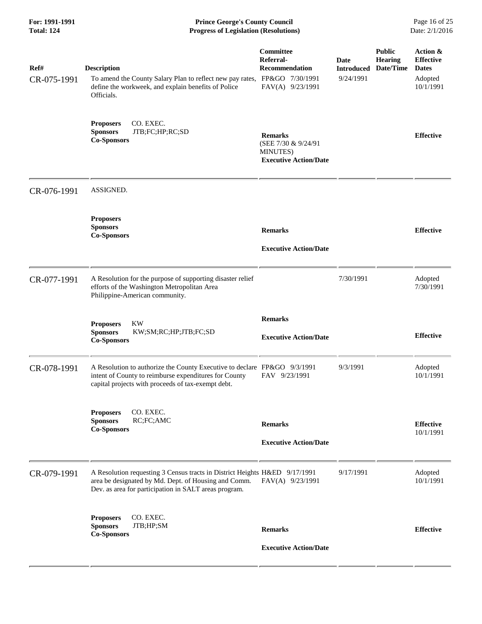| For: 1991-1991<br><b>Total: 124</b> | <b>Prince George's County Council</b><br><b>Progress of Legislation (Resolutions)</b>                                                                                                       |                                                                                   |                                        |                                              | Page 16 of 25<br>Date: 2/1/2016                                      |  |
|-------------------------------------|---------------------------------------------------------------------------------------------------------------------------------------------------------------------------------------------|-----------------------------------------------------------------------------------|----------------------------------------|----------------------------------------------|----------------------------------------------------------------------|--|
| Ref#<br>CR-075-1991                 | <b>Description</b><br>To amend the County Salary Plan to reflect new pay rates, FP&GO 7/30/1991<br>define the workweek, and explain benefits of Police<br>Officials.                        | <b>Committee</b><br>Referral-<br>Recommendation<br>FAV(A) 9/23/1991               | Date<br><b>Introduced</b><br>9/24/1991 | <b>Public</b><br><b>Hearing</b><br>Date/Time | Action &<br><b>Effective</b><br><b>Dates</b><br>Adopted<br>10/1/1991 |  |
|                                     | CO. EXEC.<br><b>Proposers</b><br>JTB;FC;HP;RC;SD<br><b>Sponsors</b><br><b>Co-Sponsors</b>                                                                                                   | <b>Remarks</b><br>(SEE 7/30 & 9/24/91<br>MINUTES)<br><b>Executive Action/Date</b> |                                        |                                              | <b>Effective</b>                                                     |  |
| CR-076-1991                         | ASSIGNED.                                                                                                                                                                                   |                                                                                   |                                        |                                              |                                                                      |  |
|                                     | <b>Proposers</b><br><b>Sponsors</b><br><b>Co-Sponsors</b>                                                                                                                                   | <b>Remarks</b><br><b>Executive Action/Date</b>                                    |                                        |                                              | <b>Effective</b>                                                     |  |
| CR-077-1991                         | A Resolution for the purpose of supporting disaster relief<br>efforts of the Washington Metropolitan Area<br>Philippine-American community.                                                 |                                                                                   | 7/30/1991                              |                                              | Adopted<br>7/30/1991                                                 |  |
|                                     | <b>KW</b><br><b>Proposers</b><br><b>Sponsors</b><br>KW;SM;RC;HP;JTB;FC;SD<br><b>Co-Sponsors</b>                                                                                             | <b>Remarks</b><br><b>Executive Action/Date</b>                                    |                                        |                                              | <b>Effective</b>                                                     |  |
| CR-078-1991                         | A Resolution to authorize the County Executive to declare FP&GO 9/3/1991<br>intent of County to reimburse expenditures for County<br>capital projects with proceeds of tax-exempt debt.     | FAV 9/23/1991                                                                     | 9/3/1991                               |                                              | Adopted<br>10/1/1991                                                 |  |
|                                     | CO. EXEC.<br><b>Proposers</b><br><b>Sponsors</b><br>RC;FC;AMC<br><b>Co-Sponsors</b>                                                                                                         | <b>Remarks</b><br><b>Executive Action/Date</b>                                    |                                        |                                              | <b>Effective</b><br>10/1/1991                                        |  |
| CR-079-1991                         | A Resolution requesting 3 Census tracts in District Heights H&ED 9/17/1991<br>area be designated by Md. Dept. of Housing and Comm.<br>Dev. as area for participation in SALT areas program. | $FAV(A)$ 9/23/1991                                                                | 9/17/1991                              |                                              | Adopted<br>10/1/1991                                                 |  |
|                                     | CO. EXEC.<br><b>Proposers</b><br><b>Sponsors</b><br>JTB;HP;SM<br><b>Co-Sponsors</b>                                                                                                         | <b>Remarks</b><br><b>Executive Action/Date</b>                                    |                                        |                                              | <b>Effective</b>                                                     |  |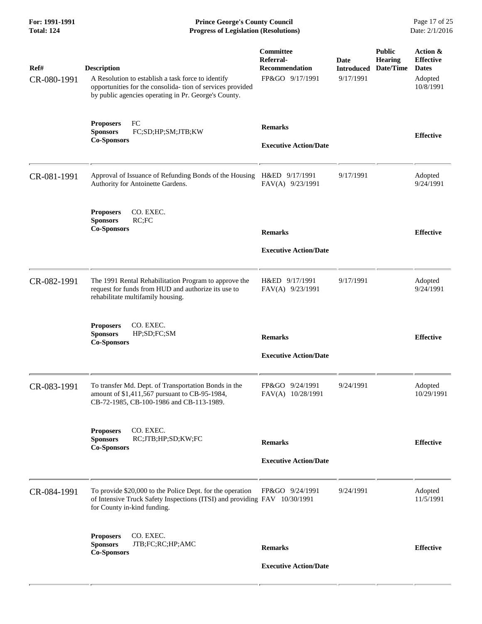**For: 1991-1991 Prince George's County Council** Page 17 of 25<br> **Prince George's County Council** Page 17 of 25<br> **Progress of Legislation (Resolutions)** Date: 2/1/2016 **Total: 124 Progress of Legislation (Resolutions)** 

| Ref#<br>CR-080-1991 | <b>Description</b><br>A Resolution to establish a task force to identify<br>opportunities for the consolida-tion of services provided<br>by public agencies operating in Pr. George's County. | Committee<br>Referral-<br><b>Recommendation</b><br>FP&GO 9/17/1991 | Date<br><b>Introduced</b><br>9/17/1991 | <b>Public</b><br><b>Hearing</b><br>Date/Time | Action &<br><b>Effective</b><br><b>Dates</b><br>Adopted<br>10/8/1991 |
|---------------------|-----------------------------------------------------------------------------------------------------------------------------------------------------------------------------------------------|--------------------------------------------------------------------|----------------------------------------|----------------------------------------------|----------------------------------------------------------------------|
|                     | FC<br><b>Proposers</b><br>FC;SD;HP;SM;JTB;KW<br><b>Sponsors</b><br><b>Co-Sponsors</b>                                                                                                         | <b>Remarks</b><br><b>Executive Action/Date</b>                     |                                        |                                              | <b>Effective</b>                                                     |
| CR-081-1991         | Approval of Issuance of Refunding Bonds of the Housing<br>Authority for Antoinette Gardens.                                                                                                   | H&ED 9/17/1991<br>FAV(A) 9/23/1991                                 | 9/17/1991                              |                                              | Adopted<br>9/24/1991                                                 |
|                     | CO. EXEC.<br><b>Proposers</b><br><b>Sponsors</b><br>RC;FC<br><b>Co-Sponsors</b>                                                                                                               | <b>Remarks</b><br><b>Executive Action/Date</b>                     |                                        |                                              | <b>Effective</b>                                                     |
| CR-082-1991         | The 1991 Rental Rehabilitation Program to approve the<br>request for funds from HUD and authorize its use to<br>rehabilitate multifamily housing.                                             | H&ED 9/17/1991<br>FAV(A) 9/23/1991                                 | 9/17/1991                              |                                              | Adopted<br>9/24/1991                                                 |
|                     | <b>Proposers</b><br>CO. EXEC.<br><b>Sponsors</b><br>HP;SD;FC;SM<br><b>Co-Sponsors</b>                                                                                                         | <b>Remarks</b><br><b>Executive Action/Date</b>                     |                                        |                                              | <b>Effective</b>                                                     |
| CR-083-1991         | To transfer Md. Dept. of Transportation Bonds in the<br>amount of \$1,411,567 pursuant to CB-95-1984,<br>CB-72-1985, CB-100-1986 and CB-113-1989.                                             | FP&GO 9/24/1991<br>FAV(A) 10/28/1991                               | 9/24/1991                              |                                              | Adopted<br>10/29/1991                                                |
|                     | CO. EXEC.<br><b>Proposers</b><br>RC;JTB;HP;SD;KW;FC<br><b>Sponsors</b><br><b>Co-Sponsors</b>                                                                                                  | <b>Remarks</b><br><b>Executive Action/Date</b>                     |                                        |                                              | <b>Effective</b>                                                     |
| CR-084-1991         | To provide \$20,000 to the Police Dept. for the operation<br>of Intensive Truck Safety Inspections (ITSI) and providing FAV 10/30/1991<br>for County in-kind funding.                         | FP&GO 9/24/1991                                                    | 9/24/1991                              |                                              | Adopted<br>11/5/1991                                                 |
|                     | CO. EXEC.<br><b>Proposers</b><br><b>Sponsors</b><br>JTB;FC;RC;HP;AMC<br><b>Co-Sponsors</b>                                                                                                    | <b>Remarks</b><br><b>Executive Action/Date</b>                     |                                        |                                              | <b>Effective</b>                                                     |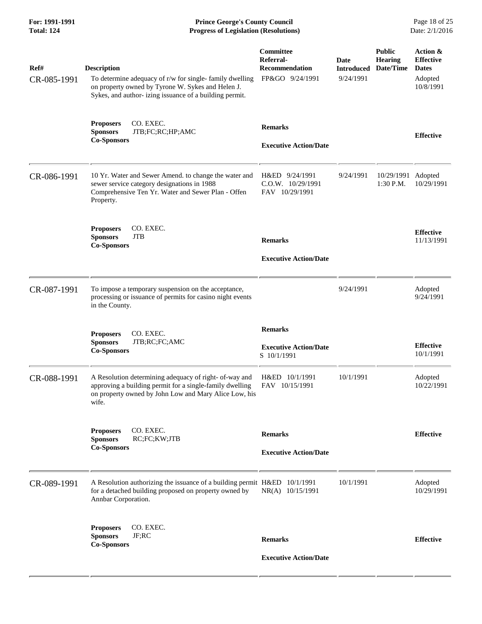**For: 1991-1991 Prince George's County Council** Page 18 of 25<br> **Prince George's County Council** Page 18 of 25<br> **Progress of Legislation (Resolutions)** Date: 2/1/2016 **Progress of Legislation (Resolutions)** 

| Ref#<br>CR-085-1991 | <b>Description</b><br>To determine adequacy of r/w for single-family dwelling<br>on property owned by Tyrone W. Sykes and Helen J.<br>Sykes, and author- izing issuance of a building permit. | Committee<br>Referral-<br><b>Recommendation</b><br>FP&GO 9/24/1991 | <b>Date</b><br><b>Introduced</b><br>9/24/1991 | <b>Public</b><br><b>Hearing</b><br>Date/Time | Action &<br><b>Effective</b><br><b>Dates</b><br>Adopted<br>10/8/1991 |
|---------------------|-----------------------------------------------------------------------------------------------------------------------------------------------------------------------------------------------|--------------------------------------------------------------------|-----------------------------------------------|----------------------------------------------|----------------------------------------------------------------------|
|                     | <b>Proposers</b><br>CO. EXEC.<br><b>Sponsors</b><br>JTB;FC;RC;HP;AMC<br><b>Co-Sponsors</b>                                                                                                    | <b>Remarks</b><br><b>Executive Action/Date</b>                     |                                               |                                              | <b>Effective</b>                                                     |
| CR-086-1991         | 10 Yr. Water and Sewer Amend. to change the water and<br>sewer service category designations in 1988<br>Comprehensive Ten Yr. Water and Sewer Plan - Offen<br>Property.                       | H&ED 9/24/1991<br>C.O.W. 10/29/1991<br>FAV 10/29/1991              | 9/24/1991                                     | 10/29/1991<br>1:30 P.M.                      | Adopted<br>10/29/1991                                                |
|                     | CO. EXEC.<br><b>Proposers</b><br><b>Sponsors</b><br><b>JTB</b><br><b>Co-Sponsors</b>                                                                                                          | <b>Remarks</b><br><b>Executive Action/Date</b>                     |                                               |                                              | <b>Effective</b><br>11/13/1991                                       |
| CR-087-1991         | To impose a temporary suspension on the acceptance,<br>processing or issuance of permits for casino night events<br>in the County.                                                            |                                                                    | 9/24/1991                                     |                                              | Adopted<br>9/24/1991                                                 |
|                     | <b>Proposers</b><br>CO. EXEC.<br><b>Sponsors</b><br>JTB;RC;FC;AMC<br><b>Co-Sponsors</b>                                                                                                       | <b>Remarks</b><br><b>Executive Action/Date</b><br>S 10/1/1991      |                                               |                                              | <b>Effective</b><br>10/1/1991                                        |
| CR-088-1991         | A Resolution determining adequacy of right- of-way and<br>approving a building permit for a single-family dwelling<br>on property owned by John Low and Mary Alice Low, his<br>wife.          | H&ED 10/1/1991<br>FAV 10/15/1991                                   | 10/1/1991                                     |                                              | Adopted<br>10/22/1991                                                |
|                     | CO. EXEC.<br><b>Proposers</b><br><b>Sponsors</b><br>RC;FC;KW;JTB<br><b>Co-Sponsors</b>                                                                                                        | <b>Remarks</b><br><b>Executive Action/Date</b>                     |                                               |                                              | <b>Effective</b>                                                     |
| CR-089-1991         | A Resolution authorizing the issuance of a building permit H&ED 10/1/1991<br>for a detached building proposed on property owned by<br>Annbar Corporation.                                     | NR(A) 10/15/1991                                                   | 10/1/1991                                     |                                              | Adopted<br>10/29/1991                                                |
|                     | <b>Proposers</b><br>CO. EXEC.<br>JF;RC<br><b>Sponsors</b><br><b>Co-Sponsors</b>                                                                                                               | <b>Remarks</b><br><b>Executive Action/Date</b>                     |                                               |                                              | <b>Effective</b>                                                     |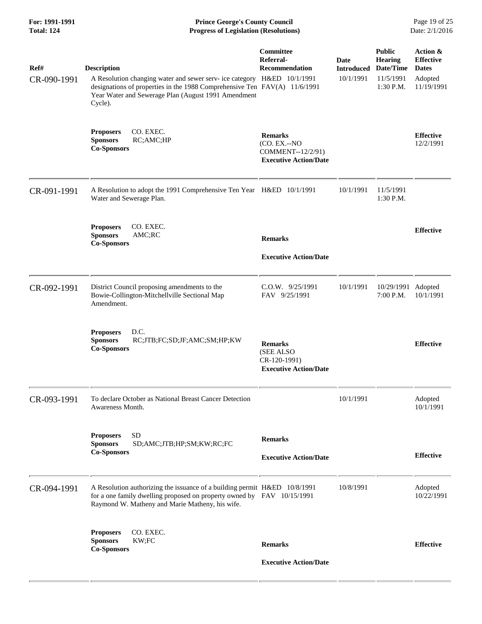| For: 1991-1991<br><b>Total: 124</b> | <b>Prince George's County Council</b><br>Date: 2/1/2016<br><b>Progress of Legislation (Resolutions)</b>                                                                                                                                      |                                                                                     |                                               |                                                                        |                                                                       |
|-------------------------------------|----------------------------------------------------------------------------------------------------------------------------------------------------------------------------------------------------------------------------------------------|-------------------------------------------------------------------------------------|-----------------------------------------------|------------------------------------------------------------------------|-----------------------------------------------------------------------|
| Ref#<br>CR-090-1991                 | <b>Description</b><br>A Resolution changing water and sewer serv- ice category H&ED 10/1/1991<br>designations of properties in the 1988 Comprehensive Ten FAV(A) 11/6/1991<br>Year Water and Sewerage Plan (August 1991 Amendment<br>Cycle). | Committee<br>Referral-<br><b>Recommendation</b>                                     | <b>Date</b><br><b>Introduced</b><br>10/1/1991 | <b>Public</b><br><b>Hearing</b><br>Date/Time<br>11/5/1991<br>1:30 P.M. | Action &<br><b>Effective</b><br><b>Dates</b><br>Adopted<br>11/19/1991 |
|                                     | CO. EXEC.<br><b>Proposers</b><br><b>Sponsors</b><br>RC;AMC;HP<br><b>Co-Sponsors</b>                                                                                                                                                          | <b>Remarks</b><br>(CO. EX.--NO<br>COMMENT--12/2/91)<br><b>Executive Action/Date</b> |                                               |                                                                        | <b>Effective</b><br>12/2/1991                                         |
| CR-091-1991                         | A Resolution to adopt the 1991 Comprehensive Ten Year H&ED 10/1/1991<br>Water and Sewerage Plan.                                                                                                                                             |                                                                                     | 10/1/1991                                     | 11/5/1991<br>1:30 P.M.                                                 |                                                                       |
|                                     | CO. EXEC.<br><b>Proposers</b><br><b>Sponsors</b><br>AMC;RC<br><b>Co-Sponsors</b>                                                                                                                                                             | <b>Remarks</b><br><b>Executive Action/Date</b>                                      |                                               |                                                                        | <b>Effective</b>                                                      |
| CR-092-1991                         | District Council proposing amendments to the<br>Bowie-Collington-Mitchellville Sectional Map<br>Amendment.                                                                                                                                   | C.O.W. 9/25/1991<br>FAV 9/25/1991                                                   | 10/1/1991                                     | 10/29/1991<br>7:00 P.M.                                                | Adopted<br>10/1/1991                                                  |
|                                     | D.C.<br><b>Proposers</b><br><b>Sponsors</b><br>RC;JTB;FC;SD;JF;AMC;SM;HP;KW<br><b>Co-Sponsors</b>                                                                                                                                            | <b>Remarks</b><br>(SEE ALSO<br>CR-120-1991)<br><b>Executive Action/Date</b>         |                                               |                                                                        | <b>Effective</b>                                                      |
| CR-093-1991                         | To declare October as National Breast Cancer Detection<br>Awareness Month.                                                                                                                                                                   |                                                                                     | 10/1/1991                                     |                                                                        | Adopted<br>10/1/1991                                                  |
|                                     | <b>SD</b><br><b>Proposers</b><br>SD;AMC;JTB;HP;SM;KW;RC;FC<br><b>Sponsors</b><br><b>Co-Sponsors</b>                                                                                                                                          | <b>Remarks</b><br><b>Executive Action/Date</b>                                      |                                               |                                                                        | <b>Effective</b>                                                      |
| CR-094-1991                         | A Resolution authorizing the issuance of a building permit H&ED 10/8/1991<br>for a one family dwelling proposed on property owned by FAV 10/15/1991<br>Raymond W. Matheny and Marie Matheny, his wife.                                       |                                                                                     | 10/8/1991                                     |                                                                        | Adopted<br>10/22/1991                                                 |
|                                     | <b>Proposers</b><br>CO. EXEC.<br>KW;FC<br><b>Sponsors</b><br><b>Co-Sponsors</b>                                                                                                                                                              | <b>Remarks</b><br><b>Executive Action/Date</b>                                      |                                               |                                                                        | <b>Effective</b>                                                      |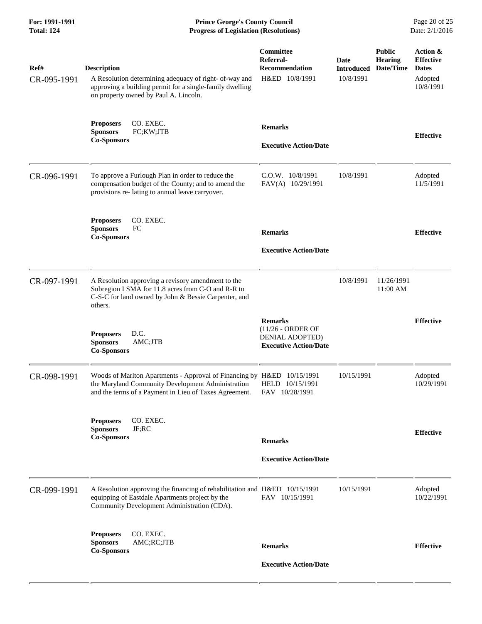**For: 1991-1991 Prince George's County Council** Page 20 of 25<br>**Progress of Legislation (Resolutions)** Date: 2/1/2016 **Total: 124 Progress of Legislation (Resolutions)** 

| Ref#<br>CR-095-1991 | <b>Description</b><br>A Resolution determining adequacy of right- of-way and<br>approving a building permit for a single-family dwelling<br>on property owned by Paul A. Lincoln.     | Committee<br>Referral-<br>Recommendation<br>H&ED 10/8/1991                             | <b>Date</b><br><b>Introduced</b><br>10/8/1991 | <b>Public</b><br><b>Hearing</b><br>Date/Time | Action &<br><b>Effective</b><br><b>Dates</b><br>Adopted<br>10/8/1991 |
|---------------------|---------------------------------------------------------------------------------------------------------------------------------------------------------------------------------------|----------------------------------------------------------------------------------------|-----------------------------------------------|----------------------------------------------|----------------------------------------------------------------------|
|                     | CO. EXEC.<br><b>Proposers</b><br><b>Sponsors</b><br>FC;KW;JTB<br><b>Co-Sponsors</b>                                                                                                   | <b>Remarks</b><br><b>Executive Action/Date</b>                                         |                                               |                                              | <b>Effective</b>                                                     |
| CR-096-1991         | To approve a Furlough Plan in order to reduce the<br>compensation budget of the County; and to amend the<br>provisions re- lating to annual leave carryover.                          | C.O.W. 10/8/1991<br>FAV(A) 10/29/1991                                                  | 10/8/1991                                     |                                              | Adopted<br>11/5/1991                                                 |
|                     | CO. EXEC.<br><b>Proposers</b><br>FC<br><b>Sponsors</b><br><b>Co-Sponsors</b>                                                                                                          | <b>Remarks</b><br><b>Executive Action/Date</b>                                         |                                               |                                              | <b>Effective</b>                                                     |
| CR-097-1991         | A Resolution approving a revisory amendment to the<br>Subregion I SMA for 11.8 acres from C-O and R-R to<br>C-S-C for land owned by John & Bessie Carpenter, and<br>others.           |                                                                                        | 10/8/1991                                     | 11/26/1991<br>11:00 AM                       |                                                                      |
|                     | <b>Proposers</b><br>D.C.<br><b>Sponsors</b><br>AMC;JTB<br><b>Co-Sponsors</b>                                                                                                          | <b>Remarks</b><br>(11/26 - ORDER OF<br>DENIAL ADOPTED)<br><b>Executive Action/Date</b> |                                               |                                              | <b>Effective</b>                                                     |
| CR-098-1991         | Woods of Marlton Apartments - Approval of Financing by H&ED 10/15/1991<br>the Maryland Community Development Administration<br>and the terms of a Payment in Lieu of Taxes Agreement. | HELD 10/15/1991<br>FAV 10/28/1991                                                      | 10/15/1991                                    |                                              | Adopted<br>10/29/1991                                                |
|                     | CO. EXEC.<br><b>Proposers</b><br><b>Sponsors</b><br>JF:RC<br><b>Co-Sponsors</b>                                                                                                       | <b>Remarks</b><br><b>Executive Action/Date</b>                                         |                                               |                                              | <b>Effective</b>                                                     |
| CR-099-1991         | A Resolution approving the financing of rehabilitation and H&ED 10/15/1991<br>equipping of Eastdale Apartments project by the<br>Community Development Administration (CDA).          | FAV 10/15/1991                                                                         | 10/15/1991                                    |                                              | Adopted<br>10/22/1991                                                |
|                     | CO. EXEC.<br><b>Proposers</b><br><b>Sponsors</b><br>AMC;RC;JTB<br><b>Co-Sponsors</b>                                                                                                  | <b>Remarks</b><br><b>Executive Action/Date</b>                                         |                                               |                                              | <b>Effective</b>                                                     |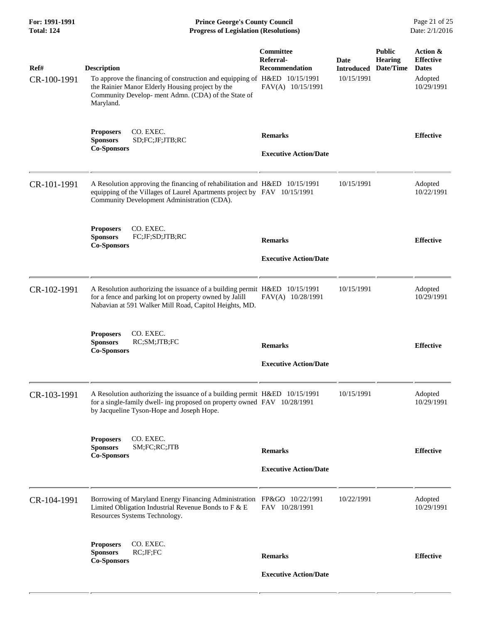|                                                                                                                                            |                                                                             |                                                                                                                                                                                                                                                                                                                                                                                                                                                                                                                                                                                                                                                |                                              | Page 21 of 25<br>Date: 2/1/2016                                       |
|--------------------------------------------------------------------------------------------------------------------------------------------|-----------------------------------------------------------------------------|------------------------------------------------------------------------------------------------------------------------------------------------------------------------------------------------------------------------------------------------------------------------------------------------------------------------------------------------------------------------------------------------------------------------------------------------------------------------------------------------------------------------------------------------------------------------------------------------------------------------------------------------|----------------------------------------------|-----------------------------------------------------------------------|
| <b>Description</b><br>the Rainier Manor Elderly Housing project by the<br>Community Develop- ment Admn. (CDA) of the State of<br>Maryland. | <b>Committee</b><br>Referral-<br><b>Recommendation</b><br>FAV(A) 10/15/1991 | Date<br><b>Introduced</b><br>10/15/1991                                                                                                                                                                                                                                                                                                                                                                                                                                                                                                                                                                                                        | <b>Public</b><br><b>Hearing</b><br>Date/Time | Action &<br><b>Effective</b><br><b>Dates</b><br>Adopted<br>10/29/1991 |
| CO. EXEC.<br><b>Proposers</b><br><b>Sponsors</b><br>SD;FC;JF;JTB;RC<br><b>Co-Sponsors</b>                                                  | <b>Remarks</b><br><b>Executive Action/Date</b>                              |                                                                                                                                                                                                                                                                                                                                                                                                                                                                                                                                                                                                                                                |                                              | <b>Effective</b>                                                      |
| Community Development Administration (CDA).                                                                                                |                                                                             | 10/15/1991                                                                                                                                                                                                                                                                                                                                                                                                                                                                                                                                                                                                                                     |                                              | Adopted<br>10/22/1991                                                 |
| CO. EXEC.<br><b>Proposers</b><br><b>Sponsors</b><br>FC;JF;SD;JTB;RC<br><b>Co-Sponsors</b>                                                  | <b>Remarks</b><br><b>Executive Action/Date</b>                              |                                                                                                                                                                                                                                                                                                                                                                                                                                                                                                                                                                                                                                                |                                              | <b>Effective</b>                                                      |
| for a fence and parking lot on property owned by Jalill<br>Nabavian at 591 Walker Mill Road, Capitol Heights, MD.                          | FAV(A) 10/28/1991                                                           | 10/15/1991                                                                                                                                                                                                                                                                                                                                                                                                                                                                                                                                                                                                                                     |                                              | Adopted<br>10/29/1991                                                 |
| CO. EXEC.<br><b>Proposers</b><br>RC;SM;JTB;FC<br><b>Sponsors</b><br><b>Co-Sponsors</b>                                                     | <b>Remarks</b><br><b>Executive Action/Date</b>                              |                                                                                                                                                                                                                                                                                                                                                                                                                                                                                                                                                                                                                                                |                                              | <b>Effective</b>                                                      |
| by Jacqueline Tyson-Hope and Joseph Hope.                                                                                                  |                                                                             | 10/15/1991                                                                                                                                                                                                                                                                                                                                                                                                                                                                                                                                                                                                                                     |                                              | Adopted<br>10/29/1991                                                 |
| CO. EXEC.<br><b>Proposers</b><br><b>Sponsors</b><br>SM;FC;RC;JTB<br><b>Co-Sponsors</b>                                                     | <b>Remarks</b><br><b>Executive Action/Date</b>                              |                                                                                                                                                                                                                                                                                                                                                                                                                                                                                                                                                                                                                                                |                                              | <b>Effective</b>                                                      |
| Limited Obligation Industrial Revenue Bonds to F & E<br>Resources Systems Technology.                                                      | FAV 10/28/1991                                                              | 10/22/1991                                                                                                                                                                                                                                                                                                                                                                                                                                                                                                                                                                                                                                     |                                              | Adopted<br>10/29/1991                                                 |
| CO. EXEC.<br><b>Proposers</b><br>RC;JF;FC<br><b>Sponsors</b><br><b>Co-Sponsors</b>                                                         | <b>Remarks</b><br><b>Executive Action/Date</b>                              |                                                                                                                                                                                                                                                                                                                                                                                                                                                                                                                                                                                                                                                |                                              | <b>Effective</b>                                                      |
|                                                                                                                                            |                                                                             | <b>Prince George's County Council</b><br><b>Progress of Legislation (Resolutions)</b><br>To approve the financing of construction and equipping of H&ED 10/15/1991<br>A Resolution approving the financing of rehabilitation and H&ED 10/15/1991<br>equipping of the Villages of Laurel Apartments project by FAV 10/15/1991<br>A Resolution authorizing the issuance of a building permit H&ED 10/15/1991<br>A Resolution authorizing the issuance of a building permit H&ED 10/15/1991<br>for a single-family dwell- ing proposed on property owned FAV 10/28/1991<br>Borrowing of Maryland Energy Financing Administration FP&GO 10/22/1991 |                                              |                                                                       |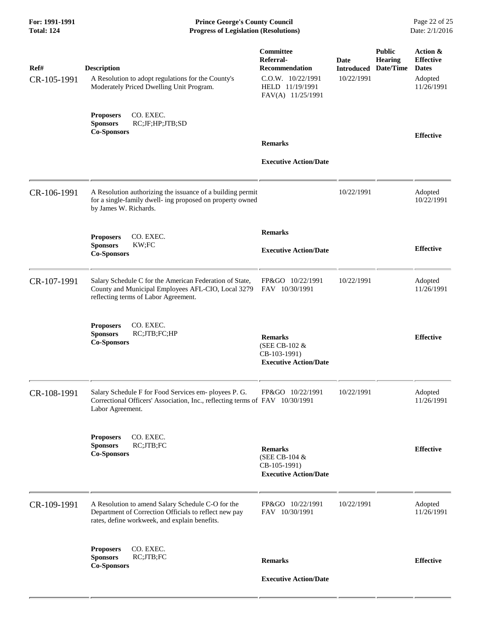**For: 1991-1991 Prince George's County Council** Page 22 of 25<br>**Progress of Legislation (Resolutions)** Date: 2/1/2016 **Total: 124 Progress of Legislation (Resolutions)** 

| Ref#<br>CR-105-1991 | <b>Description</b><br>A Resolution to adopt regulations for the County's<br>Moderately Priced Dwelling Unit Program.                                        | Committee<br>Referral-<br><b>Recommendation</b><br>C.O.W. 10/22/1991<br>HELD 11/19/1991<br>FAV(A) 11/25/1991 | Date<br><b>Introduced</b><br>10/22/1991 | <b>Public</b><br>Hearing<br>Date/Time | Action &<br><b>Effective</b><br><b>Dates</b><br>Adopted<br>11/26/1991 |
|---------------------|-------------------------------------------------------------------------------------------------------------------------------------------------------------|--------------------------------------------------------------------------------------------------------------|-----------------------------------------|---------------------------------------|-----------------------------------------------------------------------|
|                     | CO. EXEC.<br><b>Proposers</b><br><b>Sponsors</b><br>RC;JF;HP;JTB;SD<br><b>Co-Sponsors</b>                                                                   | <b>Remarks</b>                                                                                               |                                         |                                       | <b>Effective</b>                                                      |
|                     |                                                                                                                                                             | <b>Executive Action/Date</b>                                                                                 |                                         |                                       |                                                                       |
| CR-106-1991         | A Resolution authorizing the issuance of a building permit<br>for a single-family dwell- ing proposed on property owned<br>by James W. Richards.            |                                                                                                              | 10/22/1991                              |                                       | Adopted<br>10/22/1991                                                 |
|                     | CO. EXEC.<br><b>Proposers</b>                                                                                                                               | <b>Remarks</b>                                                                                               |                                         |                                       |                                                                       |
|                     | KW;FC<br><b>Sponsors</b><br><b>Co-Sponsors</b>                                                                                                              | <b>Executive Action/Date</b>                                                                                 |                                         |                                       | <b>Effective</b>                                                      |
| CR-107-1991         | Salary Schedule C for the American Federation of State,<br>County and Municipal Employees AFL-CIO, Local 3279<br>reflecting terms of Labor Agreement.       | FP&GO 10/22/1991<br>FAV 10/30/1991                                                                           | 10/22/1991                              |                                       | Adopted<br>11/26/1991                                                 |
|                     | CO. EXEC.<br><b>Proposers</b><br><b>Sponsors</b><br>RC;JTB;FC;HP<br><b>Co-Sponsors</b>                                                                      | <b>Remarks</b><br>(SEE CB-102 &<br>CB-103-1991)<br><b>Executive Action/Date</b>                              |                                         |                                       | <b>Effective</b>                                                      |
| CR-108-1991         | Salary Schedule F for Food Services em- ployees P. G.<br>Correctional Officers' Association, Inc., reflecting terms of FAV 10/30/1991<br>Labor Agreement.   | FP&GO 10/22/1991                                                                                             | 10/22/1991                              |                                       | Adopted<br>11/26/1991                                                 |
|                     | CO. EXEC.<br><b>Proposers</b><br><b>Sponsors</b><br>RC;JTB;FC<br><b>Co-Sponsors</b>                                                                         | <b>Remarks</b><br>(SEE CB-104 &<br>CB-105-1991)<br><b>Executive Action/Date</b>                              |                                         |                                       | <b>Effective</b>                                                      |
| CR-109-1991         | A Resolution to amend Salary Schedule C-O for the<br>Department of Correction Officials to reflect new pay<br>rates, define workweek, and explain benefits. | FP&GO 10/22/1991<br>FAV 10/30/1991                                                                           | 10/22/1991                              |                                       | Adopted<br>11/26/1991                                                 |
|                     | CO. EXEC.<br><b>Proposers</b><br>RC;JTB;FC<br><b>Sponsors</b><br><b>Co-Sponsors</b>                                                                         | <b>Remarks</b>                                                                                               |                                         |                                       | <b>Effective</b>                                                      |
|                     |                                                                                                                                                             | <b>Executive Action/Date</b>                                                                                 |                                         |                                       |                                                                       |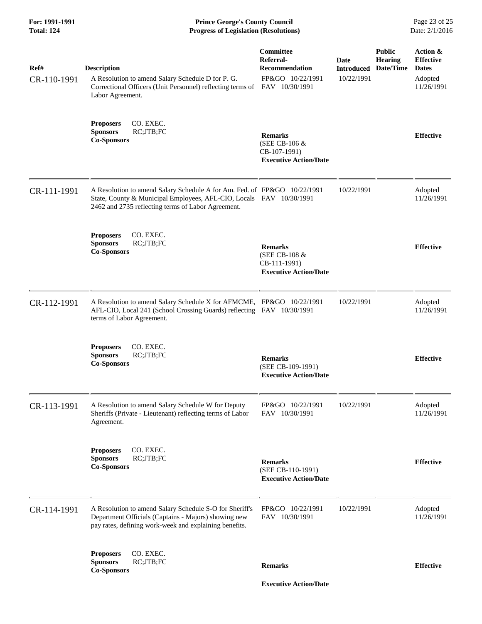| For: 1991-1991<br><b>Total: 124</b> | <b>Prince George's County Council</b><br>Date: 2/1/2016<br><b>Progress of Legislation (Resolutions)</b>                                                                                               |                                                                                              |                                         |                                              |                                                                       |
|-------------------------------------|-------------------------------------------------------------------------------------------------------------------------------------------------------------------------------------------------------|----------------------------------------------------------------------------------------------|-----------------------------------------|----------------------------------------------|-----------------------------------------------------------------------|
| Ref#<br>CR-110-1991                 | <b>Description</b><br>A Resolution to amend Salary Schedule D for P. G.<br>Correctional Officers (Unit Personnel) reflecting terms of<br>Labor Agreement.                                             | <b>Committee</b><br>Referral-<br><b>Recommendation</b><br>FP&GO 10/22/1991<br>FAV 10/30/1991 | Date<br><b>Introduced</b><br>10/22/1991 | <b>Public</b><br><b>Hearing</b><br>Date/Time | Action &<br><b>Effective</b><br><b>Dates</b><br>Adopted<br>11/26/1991 |
|                                     | <b>Proposers</b><br>CO. EXEC.<br>RC;JTB;FC<br><b>Sponsors</b><br><b>Co-Sponsors</b>                                                                                                                   | <b>Remarks</b><br>(SEE CB-106 &<br>CB-107-1991)<br><b>Executive Action/Date</b>              |                                         |                                              | <b>Effective</b>                                                      |
| CR-111-1991                         | A Resolution to amend Salary Schedule A for Am. Fed. of FP&GO 10/22/1991<br>State, County & Municipal Employees, AFL-CIO, Locals FAV 10/30/1991<br>2462 and 2735 reflecting terms of Labor Agreement. |                                                                                              | 10/22/1991                              |                                              | Adopted<br>11/26/1991                                                 |
|                                     | CO. EXEC.<br><b>Proposers</b><br>RC;JTB;FC<br><b>Sponsors</b><br><b>Co-Sponsors</b>                                                                                                                   | <b>Remarks</b><br>(SEE CB-108 &<br>CB-111-1991)<br><b>Executive Action/Date</b>              |                                         |                                              | <b>Effective</b>                                                      |
| CR-112-1991                         | A Resolution to amend Salary Schedule X for AFMCME, FP&GO 10/22/1991<br>AFL-CIO, Local 241 (School Crossing Guards) reflecting FAV 10/30/1991<br>terms of Labor Agreement.                            |                                                                                              | 10/22/1991                              |                                              | Adopted<br>11/26/1991                                                 |
|                                     | CO. EXEC.<br><b>Proposers</b><br><b>Sponsors</b><br>RC;JTB;FC<br><b>Co-Sponsors</b>                                                                                                                   | <b>Remarks</b><br>(SEE CB-109-1991)<br><b>Executive Action/Date</b>                          |                                         |                                              | <b>Effective</b>                                                      |
| CR-113-1991                         | A Resolution to amend Salary Schedule W for Deputy<br>Sheriffs (Private - Lieutenant) reflecting terms of Labor<br>Agreement.                                                                         | FP&GO 10/22/1991<br>FAV 10/30/1991                                                           | 10/22/1991                              |                                              | Adopted<br>11/26/1991                                                 |
|                                     | CO. EXEC.<br><b>Proposers</b><br>RC;JTB;FC<br><b>Sponsors</b><br><b>Co-Sponsors</b>                                                                                                                   | <b>Remarks</b><br>(SEE CB-110-1991)<br><b>Executive Action/Date</b>                          |                                         |                                              | <b>Effective</b>                                                      |
| CR-114-1991                         | A Resolution to amend Salary Schedule S-O for Sheriff's<br>Department Officials (Captains - Majors) showing new<br>pay rates, defining work-week and explaining benefits.                             | FP&GO 10/22/1991<br>FAV 10/30/1991                                                           | 10/22/1991                              |                                              | Adopted<br>11/26/1991                                                 |
|                                     | <b>Proposers</b><br>CO. EXEC.<br>RC;JTB;FC<br><b>Sponsors</b><br><b>Co-Sponsors</b>                                                                                                                   | <b>Remarks</b>                                                                               |                                         |                                              | <b>Effective</b>                                                      |
|                                     |                                                                                                                                                                                                       | <b>Executive Action/Date</b>                                                                 |                                         |                                              |                                                                       |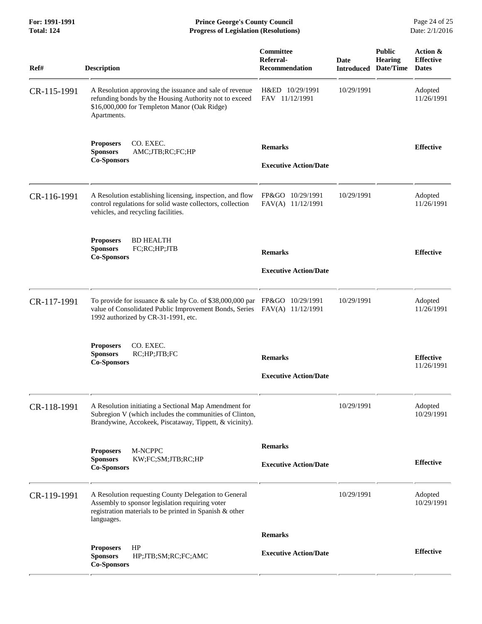**For: 1991-1991 Prince George's County Council** Page 24 of 25<br>**Progress of Legislation (Resolutions)** Date: 2/1/2016 **Total: 124 Progress of Legislation (Resolutions)** 

| Ref#        | <b>Description</b>                                                                                                                                                                            | Committee<br>Referral-<br><b>Recommendation</b> | Date<br><b>Introduced</b> | <b>Public</b><br><b>Hearing</b><br>Date/Time | Action &<br><b>Effective</b><br><b>Dates</b> |
|-------------|-----------------------------------------------------------------------------------------------------------------------------------------------------------------------------------------------|-------------------------------------------------|---------------------------|----------------------------------------------|----------------------------------------------|
| CR-115-1991 | A Resolution approving the issuance and sale of revenue<br>refunding bonds by the Housing Authority not to exceed<br>\$16,000,000 for Templeton Manor (Oak Ridge)<br>Apartments.              | H&ED 10/29/1991<br>FAV 11/12/1991               | 10/29/1991                |                                              | Adopted<br>11/26/1991                        |
|             | CO. EXEC.<br><b>Proposers</b><br><b>Sponsors</b><br>AMC;JTB;RC;FC;HP<br><b>Co-Sponsors</b>                                                                                                    | <b>Remarks</b><br><b>Executive Action/Date</b>  |                           |                                              | <b>Effective</b>                             |
| CR-116-1991 | A Resolution establishing licensing, inspection, and flow<br>control regulations for solid waste collectors, collection<br>vehicles, and recycling facilities.                                | FP&GO 10/29/1991<br>FAV(A) 11/12/1991           | 10/29/1991                |                                              | Adopted<br>11/26/1991                        |
|             | <b>BD HEALTH</b><br><b>Proposers</b><br><b>Sponsors</b><br>FC;RC;HP;JTB<br><b>Co-Sponsors</b>                                                                                                 | <b>Remarks</b><br><b>Executive Action/Date</b>  |                           |                                              | <b>Effective</b>                             |
| CR-117-1991 | To provide for issuance & sale by Co. of \$38,000,000 par FP&GO 10/29/1991<br>value of Consolidated Public Improvement Bonds, Series FAV(A) 11/12/1991<br>1992 authorized by CR-31-1991, etc. |                                                 | 10/29/1991                |                                              | Adopted<br>11/26/1991                        |
|             | <b>Proposers</b><br>CO. EXEC.<br>RC;HP;JTB;FC<br><b>Sponsors</b><br><b>Co-Sponsors</b>                                                                                                        | <b>Remarks</b><br><b>Executive Action/Date</b>  |                           |                                              | <b>Effective</b><br>11/26/1991               |
| CR-118-1991 | A Resolution initiating a Sectional Map Amendment for<br>Subregion V (which includes the communities of Clinton,<br>Brandywine, Accokeek, Piscataway, Tippett, & vicinity).                   |                                                 | 10/29/1991                |                                              | Adopted<br>10/29/1991                        |
|             | M-NCPPC<br><b>Proposers</b><br><b>Sponsors</b><br>KW;FC;SM;JTB;RC;HP<br><b>Co-Sponsors</b>                                                                                                    | <b>Remarks</b><br><b>Executive Action/Date</b>  |                           |                                              | <b>Effective</b>                             |
| CR-119-1991 | A Resolution requesting County Delegation to General<br>Assembly to sponsor legislation requiring voter<br>registration materials to be printed in Spanish & other<br>languages.              |                                                 | 10/29/1991                |                                              | Adopted<br>10/29/1991                        |
|             |                                                                                                                                                                                               | <b>Remarks</b>                                  |                           |                                              |                                              |
|             | HP<br><b>Proposers</b><br><b>Sponsors</b><br>HP;JTB;SM;RC;FC;AMC<br><b>Co-Sponsors</b>                                                                                                        | <b>Executive Action/Date</b>                    |                           |                                              | <b>Effective</b>                             |